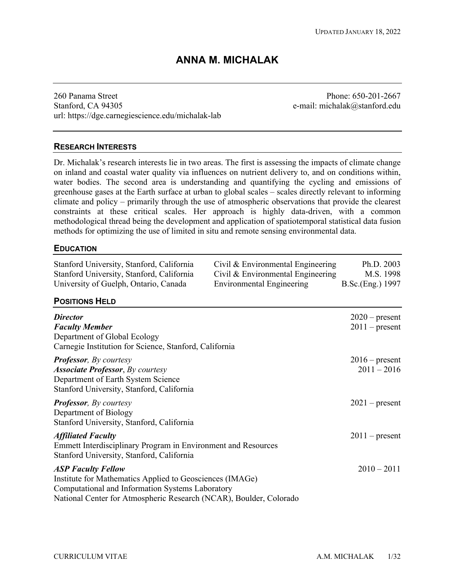# **ANNA M. MICHALAK**

260 Panama Street Stanford, CA 94305 url:<https://dge.carnegiescience.edu/michalak-lab>

Phone: 650-201-2667 e-mail: michalak@stanford.edu

# **RESEARCH INTERESTS**

 Dr. Michalak's research interests lie in two areas. The first is assessing the impacts of climate change water bodies. The second area is understanding and quantifying the cycling and emissions of climate and policy – primarily through the use of atmospheric observations that provide the clearest methodological thread being the development and application of spatiotemporal statistical data fusion methods for optimizing the use of limited in situ and remote sensing environmental data. on inland and coastal water quality via influences on nutrient delivery to, and on conditions within, greenhouse gases at the Earth surface at urban to global scales – scales directly relevant to informing constraints at these critical scales. Her approach is highly data-driven, with a common

### **EDUCATION**

| Stanford University, Stanford, California<br>Stanford University, Stanford, California<br>University of Guelph, Ontario, Canada                                                                                 | Civil & Environmental Engineering<br>Civil & Environmental Engineering<br><b>Environmental Engineering</b> | Ph.D. 2003<br>M.S. 1998<br>B.Sc.(Eng.) 1997 |
|-----------------------------------------------------------------------------------------------------------------------------------------------------------------------------------------------------------------|------------------------------------------------------------------------------------------------------------|---------------------------------------------|
| <b>POSITIONS HELD</b>                                                                                                                                                                                           |                                                                                                            |                                             |
| <b>Director</b><br><b>Faculty Member</b><br>Department of Global Ecology<br>Carnegie Institution for Science, Stanford, California                                                                              |                                                                                                            | $2020$ – present<br>$2011$ – present        |
| <b>Professor</b> , By courtesy<br><b>Associate Professor</b> , By courtesy<br>Department of Earth System Science<br>Stanford University, Stanford, California                                                   |                                                                                                            | $2016$ – present<br>$2011 - 2016$           |
| <b>Professor</b> , By courtesy<br>Department of Biology<br>Stanford University, Stanford, California                                                                                                            |                                                                                                            | $2021$ – present                            |
| <b>Affiliated Faculty</b><br><b>Emmett Interdisciplinary Program in Environment and Resources</b><br>Stanford University, Stanford, California                                                                  |                                                                                                            | $2011$ – present                            |
| <b>ASP Faculty Fellow</b><br>Institute for Mathematics Applied to Geosciences (IMAGe)<br>Computational and Information Systems Laboratory<br>National Center for Atmospheric Research (NCAR), Boulder, Colorado |                                                                                                            | $2010 - 2011$                               |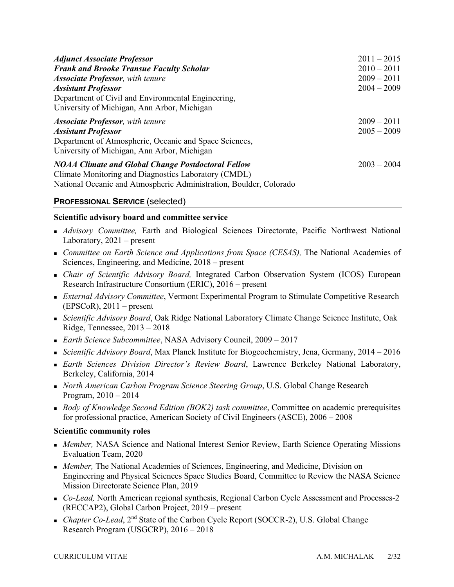| <b>Adjunct Associate Professor</b>                                 | $2011 - 2015$ |
|--------------------------------------------------------------------|---------------|
| <b>Frank and Brooke Transue Faculty Scholar</b>                    | $2010 - 2011$ |
| <b>Associate Professor</b> , with tenure                           | $2009 - 2011$ |
| <b>Assistant Professor</b>                                         | $2004 - 2009$ |
| Department of Civil and Environmental Engineering,                 |               |
| University of Michigan, Ann Arbor, Michigan                        |               |
| <b>Associate Professor</b> , with tenure                           | $2009 - 2011$ |
| <b>Assistant Professor</b>                                         | $2005 - 2009$ |
| Department of Atmospheric, Oceanic and Space Sciences,             |               |
| University of Michigan, Ann Arbor, Michigan                        |               |
| <b>NOAA Climate and Global Change Postdoctoral Fellow</b>          | $2003 - 2004$ |
| Climate Monitoring and Diagnostics Laboratory (CMDL)               |               |
| National Oceanic and Atmospheric Administration, Boulder, Colorado |               |

# **PROFESSIONAL SERVICE** (selected)

### **Scientific advisory board and committee service**

- • *Advisory Committee,* Earth and Biological Sciences Directorate, Pacific Northwest National Laboratory, 2021 – present
- Sciences, Engineering, and Medicine, 2018 present • *Committee on Earth Science and Applications from Space (CESAS)*, The National Academies of
- *Chair of Scientific Advisory Board,* Integrated Carbon Observation System (ICOS) European Research Infrastructure Consortium (ERIC), 2016 – present
- $(EPSCoR)$ , 2011 present • *External Advisory Committee*, Vermont Experimental Program to Stimulate Competitive Research
- Ridge, Tennessee, 2013 2018 • *Scientific Advisory Board*, Oak Ridge National Laboratory Climate Change Science Institute, Oak
- *Earth Science Subcommittee*, NASA Advisory Council, 2009 2017
- *Scientific Advisory Board*, Max Planck Institute for Biogeochemistry, Jena, Germany, 2014 2016
- Berkeley, California, 2014 • *Earth Sciences Division Director's Review Board*, Lawrence Berkeley National Laboratory,
- Program, 2010 2014 • *North American Carbon Program Science Steering Group*, U.S. Global Change Research
- • *Body of Knowledge Second Edition (BOK2) task committee*, Committee on academic prerequisites for professional practice, American Society of Civil Engineers (ASCE), 2006 – 2008

### **Scientific community roles**

- *Member,* NASA Science and National Interest Senior Review, Earth Science Operating Missions Evaluation Team, 2020
- • *Member,* The National Academies of Sciences, Engineering, and Medicine, Division on Engineering and Physical Sciences Space Studies Board, Committee to Review the NASA Science Mission Directorate Science Plan, 2019
- • *Co-Lead,* North American regional synthesis, Regional Carbon Cycle Assessment and Processes-2 (RECCAP2), Global Carbon Project, 2019 – present
- *Chapter Co-Lead*, 2<sup>nd</sup> State of the Carbon Cycle Report (SOCCR-2), U.S. Global Change Research Program (USGCRP), 2016 – 2018<br>CURRICULUM VITAE A.M. MICHALAK 2/32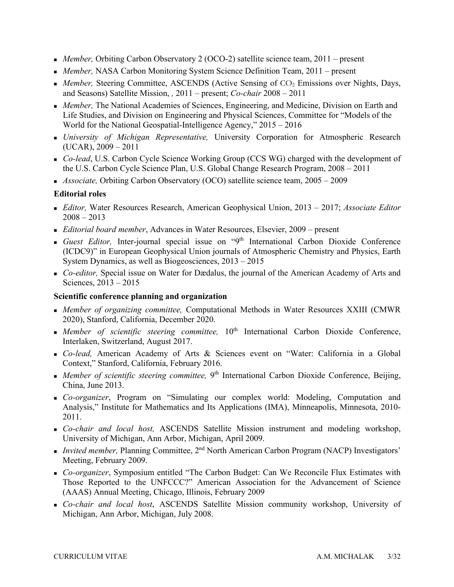- *Member*, Orbiting Carbon Observatory 2 (OCO-2) satellite science team, 2011 present
- *Member,* NASA Carbon Monitoring System Science Definition Team, 2011 present
- *Member, Steering Committee, ASCENDS (Active Sensing of CO<sub>2</sub> Emissions over Nights, Days,* and Seasons) Satellite Mission, *,* 2011 – present; *Co-chair* 2008 – 2011
- • *Member,* The National Academies of Sciences, Engineering, and Medicine, Division on Earth and World for the National Geospatial-Intelligence Agency," 2015 – 2016 Life Studies, and Division on Engineering and Physical Sciences, Committee for "Models of the
- (UCAR), 2009 2011 • *University of Michigan Representative,* University Corporation for Atmospheric Research
- • *Co-lead*, U.S. Carbon Cycle Science Working Group (CCS WG) charged with the development of the U.S. Carbon Cycle Science Plan, U.S. Global Change Research Program, 2008 – 2011
- *Associate,* Orbiting Carbon Observatory (OCO) satellite science team, 2005 2009

### **Editorial roles**

- • *Editor,* Water Resources Research, American Geophysical Union, 2013 2017; *Associate Editor*  2008 – 2013
- *Editorial board member*, Advances in Water Resources, Elsevier, 2009 present
- System Dynamics, as well as Biogeosciences, 2013 2015 • *Guest Editor,* Inter-journal special issue on "9th International Carbon Dioxide Conference (ICDC9)" in European Geophysical Union journals of Atmospheric Chemistry and Physics, Earth
- Sciences, 2013 2015 • *Co-editor,* Special issue on Water for Dædalus, the journal of the American Academy of Arts and

### **Scientific conference planning and organization**

- **•** *Member of organizing committee, Computational Methods in Water Resources XXIII (CMWR* 2020), Stanford, California, December 2020.
- *Member of scientific steering committee*, 10<sup>th</sup> International Carbon Dioxide Conference, Interlaken, Switzerland, August 2017.
- Context," Stanford, California, February 2016. • *Co-lead,* American Academy of Arts & Sciences event on "Water: California in a Global
- **•** *Member of scientific steering committee*, 9<sup>th</sup> International Carbon Dioxide Conference, Beijing, China, June 2013.
- • *Co-organizer*, Program on "Simulating our complex world: Modeling, Computation and Analysis," Institute for Mathematics and Its Applications (IMA), Minneapolis, Minnesota, 2010- 2011.
- University of Michigan, Ann Arbor, Michigan, April 2009. • *Co-chair and local host,* ASCENDS Satellite Mission instrument and modeling workshop,
- *Invited member*, Planning Committee, 2<sup>nd</sup> North American Carbon Program (NACP) Investigators' Meeting, February 2009.
- • *Co-organizer*, Symposium entitled "The Carbon Budget: Can We Reconcile Flux Estimates with (AAAS) Annual Meeting, Chicago, Illinois, February 2009 Those Reported to the UNFCCC?" American Association for the Advancement of Science
- • *Co-chair and local host*, ASCENDS Satellite Mission community workshop, University of Michigan, Ann Arbor, Michigan, July 2008.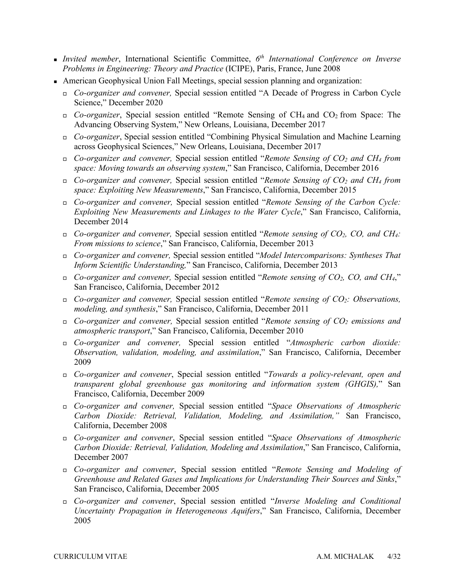- *Invited member*, International Scientific Committee, *6th International Conference on Inverse Problems in Engineering: Theory and Practice* (ICIPE), Paris, France, June 2008
- • American Geophysical Union Fall Meetings, special session planning and organization:
	- *Co-organizer and convener,* Special session entitled "A Decade of Progress in Carbon Cycle Science," December 2020
	- • *Co-organizer*, Special session entitled "Remote Sensing of CH4 and CO2 from Space: The Advancing Observing System," New Orleans, Louisiana, December 2017
	- across Geophysical Sciences," New Orleans, Louisiana, December 2017 • *Co-organizer*, Special session entitled "Combining Physical Simulation and Machine Learning
	- *Co-organizer and convener,* Special session entitled "*Remote Sensing of CO2 and CH4 from space: Moving towards an observing system*," San Francisco, California, December 2016
	- *Co-organizer and convener,* Special session entitled "*Remote Sensing of CO2 and CH4 from space: Exploiting New Measurements*," San Francisco, California, December 2015
	- *Co-organizer and convener,* Special session entitled "*Remote Sensing of the Carbon Cycle: Exploiting New Measurements and Linkages to the Water Cycle*," San Francisco, California, December 2014
	- *Co-organizer and convener,* Special session entitled "*Remote sensing of CO2, CO, and CH4: From missions to science*," San Francisco, California, December 2013
	- *Co-organizer and convener,* Special session entitled "*Model Intercomparisons: Syntheses That Inform Scientific Understanding,*" San Francisco, California, December 2013
	- *Co-organizer and convener,* Special session entitled "*Remote sensing of CO2, CO, and CH4*," San Francisco, California, December 2012
	- *Co-organizer and convener,* Special session entitled "*Remote sensing of CO2: Observations, modeling, and synthesis*," San Francisco, California, December 2011
	- *Co-organizer and convener,* Special session entitled "*Remote sensing of CO2 emissions and atmospheric transport*," San Francisco, California, December 2010
	- *Observation, validation, modeling, and assimilation*," San Francisco, California, December • *Co-organizer and convener,* Special session entitled "*Atmospheric carbon dioxide:*  2009
	- *Co-organizer and convener*, Special session entitled "*Towards a policy-relevant, open and transparent global greenhouse gas monitoring and information system (GHGIS),*" San Francisco, California, December 2009
	- *Carbon Dioxide: Retrieval, Validation, Modeling, and Assimilation,"* San Francisco, • *Co-organizer and convener,* Special session entitled "*Space Observations of Atmospheric*  California, December 2008
	- *Carbon Dioxide: Retrieval, Validation, Modeling and Assimilation*," San Francisco, California, • *Co-organizer and convener*, Special session entitled "*Space Observations of Atmospheric*  December 2007
	- *Co-organizer and convener*, Special session entitled "*Remote Sensing and Modeling of Greenhouse and Related Gases and Implications for Understanding Their Sources and Sinks*," San Francisco, California, December 2005
	- *Co-organizer and convener*, Special session entitled "*Inverse Modeling and Conditional Uncertainty Propagation in Heterogeneous Aquifers*," San Francisco, California, December 2005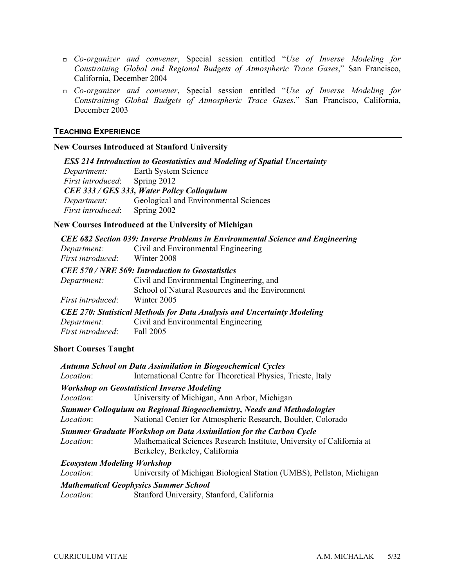- *Constraining Global and Regional Budgets of Atmospheric Trace Gases*," San Francisco, • *Co-organizer and convener*, Special session entitled "*Use of Inverse Modeling for*  California, December 2004
- *Constraining Global Budgets of Atmospheric Trace Gases*," San Francisco, California, December 2003 • *Co-organizer and convener*, Special session entitled "*Use of Inverse Modeling for*

### **TEACHING EXPERIENCE**

### **New Courses Introduced at Stanford University**

| <b>ESS 214 Introduction to Geostatistics and Modeling of Spatial Uncertainty</b> |                                         |  |  |  |
|----------------------------------------------------------------------------------|-----------------------------------------|--|--|--|
|                                                                                  | <i>Department:</i> Earth System Science |  |  |  |
| <i>First introduced:</i> Spring 2012                                             |                                         |  |  |  |
| CEE 333 / GES 333, Water Policy Colloquium                                       |                                         |  |  |  |
| Department:                                                                      | Geological and Environmental Sciences   |  |  |  |
| <i>First introduced:</i>                                                         | Spring 2002                             |  |  |  |

### **New Courses Introduced at the University of Michigan**

| CEE 682 Section 039: Inverse Problems in Environmental Science and Engineering |                                                 |  |
|--------------------------------------------------------------------------------|-------------------------------------------------|--|
| Department:                                                                    | Civil and Environmental Engineering             |  |
| <i>First introduced</i> : Winter 2008                                          |                                                 |  |
| <b>CEE 570/NRE 569: Introduction to Geostatistics</b>                          |                                                 |  |
| Department:                                                                    | Civil and Environmental Engineering, and        |  |
|                                                                                | School of Natural Resources and the Environment |  |
| <i>First introduced</i> : Winter 2005                                          |                                                 |  |
| <b>CEE 270: Statistical Methods for Data Analysis and Uncertainty Modeling</b> |                                                 |  |
| Department:                                                                    | Civil and Environmental Engineering             |  |
| First introduced: Fall 2005                                                    |                                                 |  |

# **Short Courses Taught**

|                  | <b>Autumn School on Data Assimilation in Biogeochemical Cycles</b>                                                                                                                   |
|------------------|--------------------------------------------------------------------------------------------------------------------------------------------------------------------------------------|
| <i>Location:</i> | International Centre for Theoretical Physics, Trieste, Italy                                                                                                                         |
|                  | <b>Workshop on Geostatistical Inverse Modeling</b>                                                                                                                                   |
| <i>Location:</i> | University of Michigan, Ann Arbor, Michigan                                                                                                                                          |
| <i>Location:</i> | <b>Summer Colloquium on Regional Biogeochemistry, Needs and Methodologies</b><br>National Center for Atmospheric Research, Boulder, Colorado                                         |
| <i>Location:</i> | <b>Summer Graduate Workshop on Data Assimilation for the Carbon Cycle</b><br>Mathematical Sciences Research Institute, University of California at<br>Berkeley, Berkeley, California |
|                  | <b>Ecosystem Modeling Workshop</b>                                                                                                                                                   |
| <i>Location:</i> | University of Michigan Biological Station (UMBS), Pellston, Michigan                                                                                                                 |
|                  | <b>Mathematical Geophysics Summer School</b>                                                                                                                                         |
| <i>Location:</i> | Stanford University, Stanford, California                                                                                                                                            |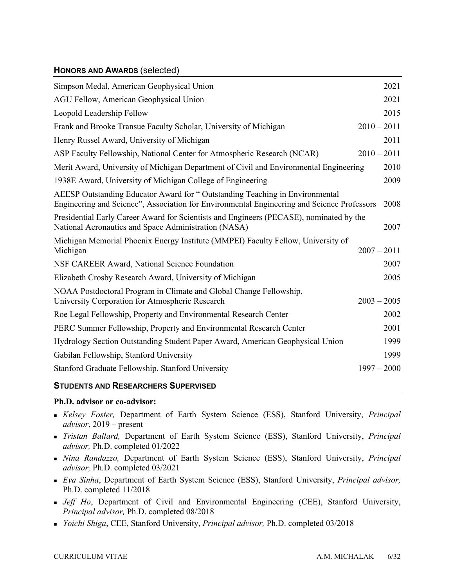# **HONORS AND AWARDS** (selected)

| Simpson Medal, American Geophysical Union                                                                                                                                 |               | 2021 |
|---------------------------------------------------------------------------------------------------------------------------------------------------------------------------|---------------|------|
| AGU Fellow, American Geophysical Union                                                                                                                                    |               | 2021 |
| Leopold Leadership Fellow                                                                                                                                                 |               | 2015 |
| Frank and Brooke Transue Faculty Scholar, University of Michigan                                                                                                          | $2010 - 2011$ |      |
| Henry Russel Award, University of Michigan                                                                                                                                |               | 2011 |
| ASP Faculty Fellowship, National Center for Atmospheric Research (NCAR)                                                                                                   | $2010 - 2011$ |      |
| Merit Award, University of Michigan Department of Civil and Environmental Engineering                                                                                     |               | 2010 |
| 1938 Award, University of Michigan College of Engineering                                                                                                                 |               | 2009 |
| AEESP Outstanding Educator Award for "Outstanding Teaching in Environmental<br>Engineering and Science", Association for Environmental Engineering and Science Professors |               | 2008 |
| Presidential Early Career Award for Scientists and Engineers (PECASE), nominated by the<br>National Aeronautics and Space Administration (NASA)                           |               | 2007 |
| Michigan Memorial Phoenix Energy Institute (MMPEI) Faculty Fellow, University of<br>Michigan                                                                              | $2007 - 2011$ |      |
| NSF CAREER Award, National Science Foundation                                                                                                                             |               | 2007 |
| Elizabeth Crosby Research Award, University of Michigan                                                                                                                   |               | 2005 |
| NOAA Postdoctoral Program in Climate and Global Change Fellowship,<br>University Corporation for Atmospheric Research                                                     | $2003 - 2005$ |      |
| Roe Legal Fellowship, Property and Environmental Research Center                                                                                                          |               | 2002 |
| PERC Summer Fellowship, Property and Environmental Research Center                                                                                                        |               | 2001 |
| Hydrology Section Outstanding Student Paper Award, American Geophysical Union                                                                                             |               | 1999 |
| Gabilan Fellowship, Stanford University                                                                                                                                   |               | 1999 |
| Stanford Graduate Fellowship, Stanford University                                                                                                                         | $1997 - 2000$ |      |

# **STUDENTS AND RESEARCHERS SUPERVISED**

### **Ph.D. advisor or co-advisor:**

- • *Kelsey Foster,* Department of Earth System Science (ESS), Stanford University, *Principal advisor*, 2019 – present
- • *Tristan Ballard,* Department of Earth System Science (ESS), Stanford University, *Principal advisor,* Ph.D. completed 01/2022
- • *Nina Randazzo,* Department of Earth System Science (ESS), Stanford University, *Principal advisor,* Ph.D. completed 03/2021
- • *Eva Sinha*, Department of Earth System Science (ESS), Stanford University, *Principal advisor,*  Ph.D. completed 11/2018
- • *Jeff Ho*, Department of Civil and Environmental Engineering (CEE), Stanford University,  *Principal advisor,* Ph.D. completed 08/2018
- *Yoichi Shiga*, CEE, Stanford University, *Principal advisor,* Ph.D. completed 03/2018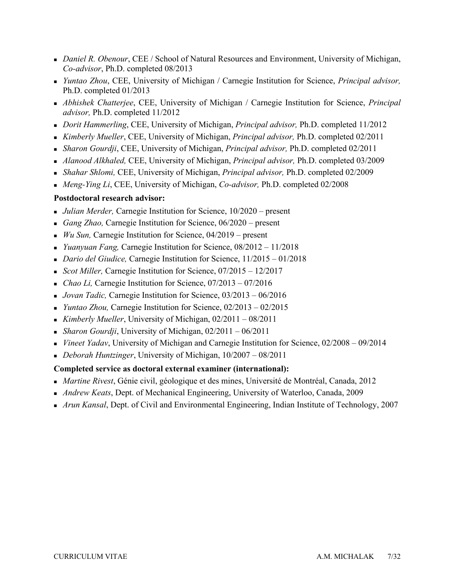- • *Daniel R. Obenour*, CEE / School of Natural Resources and Environment, University of Michigan, *Co-advisor*, Ph.D. completed 08/2013
- *Yuntao Zhou*, CEE, University of Michigan / Carnegie Institution for Science, *Principal advisor,*  Ph.D. completed 01/2013
- *Abhishek Chatterjee*, CEE, University of Michigan / Carnegie Institution for Science, *Principal advisor,* Ph.D. completed 11/2012
- *Dorit Hammerling*, CEE, University of Michigan, *Principal advisor,* Ph.D. completed 11/2012
- *Kimberly Mueller*, CEE, University of Michigan, *Principal advisor,* Ph.D. completed 02/2011
- *Sharon Gourdji*, CEE, University of Michigan, *Principal advisor,* Ph.D. completed 02/2011
- *Alanood Alkhaled,* CEE, University of Michigan, *Principal advisor,* Ph.D. completed 03/2009
- *Shahar Shlomi,* CEE, University of Michigan, *Principal advisor,* Ph.D. completed 02/2009
- *Meng-Ying Li*, CEE, University of Michigan, *Co-advisor,* Ph.D. completed 02/2008

# **Postdoctoral research advisor:**

- *Julian Merder,* Carnegie Institution for Science, 10/2020 present
- *Gang Zhao,* Carnegie Institution for Science, 06/2020 present
- *Wu Sun,* Carnegie Institution for Science, 04/2019 present
- *Yuanyuan Fang,* Carnegie Institution for Science, 08/2012 11/2018
- *Dario del Giudice,* Carnegie Institution for Science, 11/2015 01/2018
- *Scot Miller,* Carnegie Institution for Science, 07/2015 12/2017
- *Chao Li,* Carnegie Institution for Science, 07/2013 07/2016
- *Jovan Tadic,* Carnegie Institution for Science, 03/2013 06/2016
- *Yuntao Zhou,* Carnegie Institution for Science, 02/2013 02/2015
- *Kimberly Mueller*, University of Michigan, 02/2011 08/2011
- *Sharon Gourdji*, University of Michigan, 02/2011 06/2011
- *Vineet Yadav*, University of Michigan and Carnegie Institution for Science, 02/2008 09/2014
- *Deborah Huntzinger*, University of Michigan, 10/2007 08/2011

# **Completed service as doctoral external examiner (international):**

- *Martine Rivest*, Génie civil, géologique et des mines, Université de Montréal, Canada, 2012
- *Andrew Keats*, Dept. of Mechanical Engineering, University of Waterloo, Canada, 2009
- *Arun Kansal*, Dept. of Civil and Environmental Engineering, Indian Institute of Technology, 2007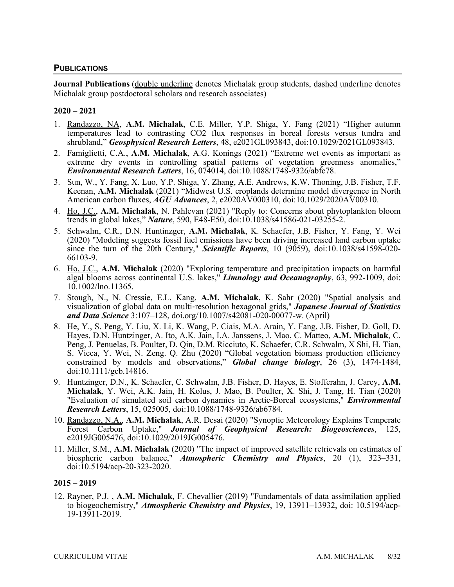### **PUBLICATIONS**

**Journal Publications** (*double underline denotes Michalak group students*, *dashed underline denotes* Michalak group postdoctoral scholars and research associates)

### **2020 – 2021**

- 1. Randazzo, NA, **A.M. Michalak**, C.E. Miller, Y.P. Shiga, Y. Fang (2021) "Higher autumn temperatures lead to contrasting CO2 flux responses in boreal forests versus tundra and shrubland," *Geosphysical Research Letters*, 48, e2021GL093843, doi:10.1029/2021GL093843.
- 2. Famiglietti, C.A., **A.M. Michalak**, A.G. Konings (2021) "Extreme wet events as important as extreme dry events in controlling spatial patterns of vegetation greenness anomalies," *Environmental Research Letters*, 16, 074014, doi:10.1088/1748-9326/abfc78.
- 3. Sun, W., Y. Fang, X. Luo, Y.P. Shiga, Y. Zhang, A.E. Andrews, K.W. Thoning, J.B. Fisher, T.F. Keenan, **A.M. Michalak** (2021) "Midwest U.S. croplands determine model divergence in North American carbon fluxes, *AGU Advances*, 2, e2020AV000310, doi:10.1029/2020AV00310.
- 4. Ho, J.C., **A.M. Michalak**, N. Pahlevan (2021) "Reply to: Concerns about phytoplankton bloom trends in global lakes," *Nature*, 590, E48-E50, doi:10.1038/s41586-021-03255-2.
- 5. Schwalm, C.R., D.N. Huntinzger, **A.M. Michalak**, K. Schaefer, J.B. Fisher, Y. Fang, Y. Wei (2020) "Modeling suggests fossil fuel emissions have been driving increased land carbon uptake since the turn of the 20th Century," *Scientific Reports*, 10 (9059), doi:10.1038/s41598-020- 66103-9.
- 6. Ho, J.C., **A.M. Michalak** (2020) "Exploring temperature and precipitation impacts on harmful algal blooms across continental U.S. lakes," *Limnology and Oceanography*, 63, 992-1009, doi: 10.1002/lno.11365.
- *and Data Science* 3:107–128, [doi.org/10.1007/s42081-020-00077-w](https://doi.org/10.1007/s42081-020-00077-w). (April) 7. Stough, N., N. Cressie, E.L. Kang, **A.M. Michalak**, K. Sahr (2020) "Spatial analysis and visualization of global data on multi-resolution hexagonal grids," *Japanese Journal of Statistics*
- 8. He, Y., S. Peng, Y. Liu, X. Li, K. Wang, P. Ciais, M.A. Arain, Y. Fang, J.B. Fisher, D. Goll, D. Hayes, D.N. Huntzinger, A. Ito, A.K. Jain, I.A. Janssens, J. Mao, C. Matteo, **A.M. Michalak**, C. Peng, J. Penuelas, B. Poulter, D. Qin, D.M. Ricciuto, K. Schaefer, C.R. Schwalm, X Shi, H. Tian, S. Vicca, Y. Wei, N. Zeng. Q. Zhu (2020) "Global vegetation biomass production efficiency constrained by models and observations," *Global change biology*, 26 (3), 1474-1484, doi:10.1111/gcb.14816.
- 9. Huntzinger, D.N., K. Schaefer, C. Schwalm, J.B. Fisher, D. Hayes, E. Stofferahn, J. Carey, **A.M. Michalak**, Y. Wei, A.K. Jain, H. Kolus, J. Mao, B. Poulter, X. Shi, J. Tang, H. Tian (2020) "Evaluation of simulated soil carbon dynamics in Arctic-Boreal ecosystems," *Environmental Research Letters*, 15, 025005, doi:10.1088/1748-9326/ab6784.
- 10. Randazzo, N.A., **A.M. Michalak**, A.R. Desai (2020) "Synoptic Meteorology Explains Temperate Forest Carbon Uptake," *Journal of Geophysical Research: Biogeosciences*, 125, e2019JG005476, doi:10.1029/2019JG005476.
- 11. Miller, S.M., **A.M. Michalak** (2020) "The impact of improved satellite retrievals on estimates of biospheric carbon balance," *Atmospheric Chemistry and Physics*, 20 (1), 323–331, doi:10.5194/acp-20-323-2020.

### **2015 – 2019**

 12. Rayner, P.J. , **A.M. Michalak**, F. Chevallier (2019) "Fundamentals of data assimilation applied to biogeochemistry," *Atmospheric Chemistry and Physics*, 19, 13911–13932, doi: 10.5194/acp-19-13911-2019.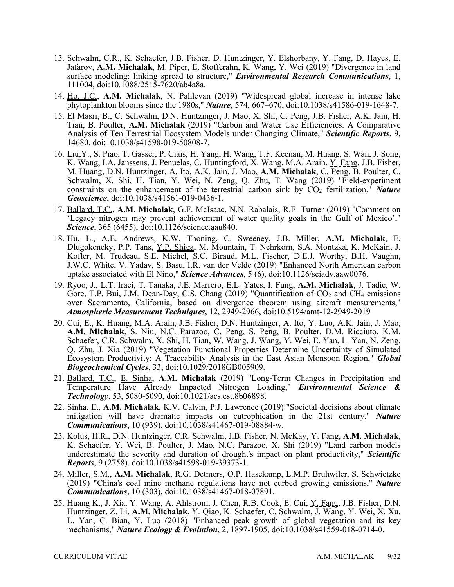- Jafarov, **A.M. Michalak**, M. Piper, E. Stofferahn, K. Wang, Y. Wei (2019) "Divergence in land 13. Schwalm, C.R., K. Schaefer, J.B. Fisher, D. Huntzinger, Y. Elshorbany, Y. Fang, D. Hayes, E. surface modeling: linking spread to structure," *Environmental Research Communications*, 1, 111004, doi:10.1088/2515-7620/ab4a8a.
- 14. Ho, J.C., **A.M. Michalak**, N. Pahlevan (2019) "Widespread global increase in intense lake phytoplankton blooms since the 1980s," *Nature*, 574, 667–670, doi:10.1038/s41586-019-1648-7.
- 15. El Masri, B., C. Schwalm, D.N. Huntzinger, J. Mao, X. Shi, C. Peng, J.B. Fisher, A.K. Jain, H. Tian, B. Poulter, **A.M. Michalak** (2019) "Carbon and Water Use Efficiencies: A Comparative Analysis of Ten Terrestrial Ecosystem Models under Changing Climate," *Scientific Reports*, 9, 14680, doi:10.1038/s41598-019-50808-7.
- 16. Liu,Y., S. Piao, T. Gasser, P. Ciais, H. Yang, H. Wang, T.F. Keenan, M. Huang, S. Wan, J. Song, K. Wang, I.A. Janssens, J. Penuelas, C. Huntingford, X. Wang, M.A. Arain, Y. Fang, J.B. Fisher, M. Huang, D.N. Huntzinger, A. Ito, A.K. Jain, J. Mao, **A.M. Michalak**, C. Peng, B. Poulter, C. constraints on the enhancement of the terrestrial carbon sink by  $CO<sub>2</sub>$  fertilization,<sup>"</sup> *Nature* Schwalm, X. Shi, H. Tian, Y. Wei, N. Zeng, Q. Zhu, T. Wang (2019) "Field-experiment *Geoscience*, doi:10.1038/s41561-019-0436-1.
- 'Legacy nitrogen may prevent achievement of water quality goals in the Gulf of Mexico'," 17. Ballard, T.C., **A.M. Michalak**, G.F. McIsaac, N.N. Rabalais, R.E. Turner (2019) "Comment on *Science*, 365 (6455), doi:10.1126/science.aau840.
- 18. Hu, L., A.E. Andrews, K.W. Thoning, C. Sweeney, J.B. Miller, **A.M. Michalak**, E. Dlugokencky, P.P. Tans, *Y.P. Shiga*, M. Mountain, T. Nehrkorn, S.A. Montzka, K. McKain, J. Kofler, M. Trudeau, S.E. Michel, S.C. Biraud, M.L. Fischer, D.E.J. Worthy, B.H. Vaughn, J.W.C. White, V. Yadav, S. Basu, I.R. van der Velde (2019) "Enhanced North American carbon uptake associated with El Nino," *Science Advances*, 5 (6), doi:10.1126/sciadv.aaw0076.
- 19. Ryoo, J., L.T. Iraci, T. Tanaka, J.E. Marrero, E.L. Yates, I. Fung, **A.M. Michalak**, J. Tadic, W. Gore, T.P. Bui, J.M. Dean-Day, C.S. Chang  $(2019)$  "Quantification of  $CO<sub>2</sub>$  and CH<sub>4</sub> emissions over Sacramento, California, based on divergence theorem using aircraft measurements," *Atmospheric Measurement Techniques*, 12, 2949-2966, doi:10.5194/amt-12-2949-2019
- 20. Cui, E., K. Huang, M.A. Arain, J.B. Fisher, D.N. Huntzinger, A. Ito, Y. Luo, A.K. Jain, J. Mao, Q. Zhu, J. Xia (2019) "Vegetation Functional Properties Determine Uncertainty of Simulated Ecosystem Productivity: A Traceability Analysis in the East Asian Monsoon Region," *Global*  **A.M. Michalak**, S. Niu, N.C. Parazoo, C. Peng, S. Peng, B. Poulter, D.M. Ricciuto, K.M. Schaefer, C.R. Schwalm, X. Shi, H. Tian, W. Wang, J. Wang, Y. Wei, E. Yan, L. Yan, N. Zeng, *Biogeochemical Cycles*, 33, doi:10.1029/2018GB005909.
- 21. Ballard, T.C., E. Sinha, **A.M. Michalak** (2019) "Long-Term Changes in Precipitation and Temperature Have Already Impacted Nitrogen Loading," *Environmental Science & Technology*, 53, 5080-5090, doi:10.1021/acs.est.8b06898.
- mitigation will have dramatic impacts on eutrophication in the 21st century," *Nature*  22. Sinha, E., **A.M. Michalak**, K.V. Calvin, P.J. Lawrence (2019) "Societal decisions about climate *Communications*, 10 (939), doi:10.1038/s41467-019-08884-w.
- 23. Kolus, H.R., D.N. Huntzinger, C.R. Schwalm, J.B. Fisher, N. McKay, Y. Fang, **A.M. Michalak**, K. Schaefer, Y. Wei, B. Poulter, J. Mao, N.C. Parazoo, X. Shi (2019) "Land carbon models underestimate the severity and duration of drought's impact on plant productivity," *Scientific Reports*, 9 (2758), doi:10.1038/s41598-019-39373-1.
- 24. Miller, S.M., **A.M. Michalak**, R.G. Detmers, O.P. Hasekamp, L.M.P. Bruhwiler, S. Schwietzke (2019) "China's coal mine methane regulations have not curbed growing emissions," *Nature Communications*, 10 (303), doi:10.1038/s41467-018-07891.
- 25. Huang K., J. Xia, Y. Wang, A. Ahlstrom, J. Chen, R.B. Cook, E. Cui, Y. Fang, J.B. Fisher, D.N. Huntzinger, Z. Li, **A.M. Michalak**, Y. Qiao, K. Schaefer, C. Schwalm, J. Wang, Y. Wei, X. Xu, L. Yan, C. Bian, Y. Luo (2018) "Enhanced peak growth of global vegetation and its key mechanisms," *Nature Ecology & Evolution*, 2, 1897-1905, doi:10.1038/s41559-018-0714-0.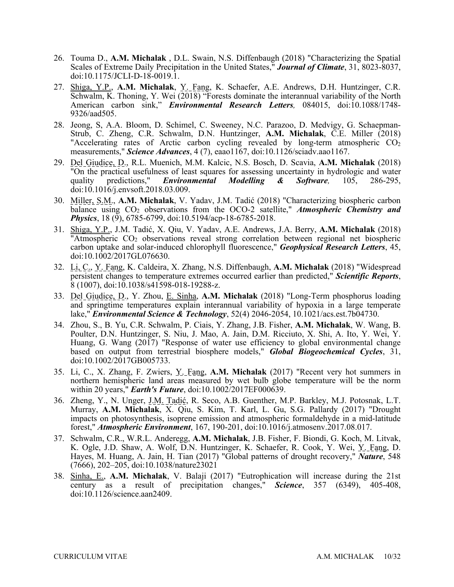- 26. Touma D., **A.M. Michalak** , D.L. Swain, N.S. Diffenbaugh (2018) "Characterizing the Spatial Scales of Extreme Daily Precipitation in the United States," *Journal of Climate*, 31, 8023-8037, doi:10.1175/JCLI-D-18-0019.1.
- 27. Shiga, Y.P., **A.M. Michalak**, Y. Fang, K. Schaefer, A.E. Andrews, D.H. Huntzinger, C.R. Schwalm, K. Thoning, Y. Wei (2018) "Forests dominate the interannual variability of the North American carbon sink," *Environmental Research Letters,* 084015, doi:10.1088/1748- 9326/aad505.
- 28. Jeong, S, A.A. Bloom, D. Schimel, C. Sweeney, N.C. Parazoo, D. Medvigy, G. Schaepman-Strub, C. Zheng, C.R. Schwalm, D.N. Huntzinger, **A.M. Michalak**, C.E. Miller (2018) "Accelerating rates of Arctic carbon cycling revealed by long-term atmospheric  $CO<sub>2</sub>$ measurements," *Science Advances*, 4 (7), eaao1167, doi:10.1126/sciadv.aao1167.
- 105, 29. Del Giudice, D., R.L. Muenich, M.M. Kalcic, N.S. Bosch, D. Scavia, **A.M. Michalak** (2018) "On the practical usefulness of least squares for assessing uncertainty in hydrologic and water quality predictions," *Environmental Modelling & Software,* 105, 286-295, doi:10.1016/j.envsoft.2018.03.009.
- 30. Miller, S.M., **A.M. Michalak**, V. Yadav, J.M. Tadić (2018) "Characterizing biospheric carbon balance using CO2 observations from the OCO-2 satellite," *Atmospheric Chemistry and Physics*, 18 (9), 6785-6799, doi:10.5194/acp-18-6785-2018.
- 31. Shiga, Y.P., J.M. Tadić, X. Qiu, V. Yadav, A.E. Andrews, J.A. Berry, **A.M. Michalak** (2018) doi:10.1002/2017GL076630. "Atmospheric  $CO<sub>2</sub>$  observations reveal strong correlation between regional net biospheric carbon uptake and solar-induced chlorophyll fluorescence," *Geophysical Research Letters*, 45,
- $\hat{8}$  (1007), doi:10.1038/s41598-018-19288-z. 8 (1007), doi:10.1038/s41598-018-19288-z. 33. Del Giudice, D., Y. Zhou, E. Sinha, **A.M. Michalak** (2018) "Long-Term phosphorus loading doi:10.1002/2017GL076630. 32. Li, C., Y. Fang, K. Caldeira, X. Zhang, N.S. Diffenbaugh, **A.M. Michalak** (2018) "Widespread persistent changes to temperature extremes occurred earlier than predicted," *Scientific Reports*,
- lake," *Environmental Science & Technology*, 52(4) 2046-2054, 10.1021/acs.est.7b04730. lake," *Environmental Science & Technology*, 52(4) 2046-2054, 10.1021/acs.est.7b04730. 34. Zhou, S., B. Yu, C.R. Schwalm, P. Ciais, Y. Zhang, J.B. Fisher, **A.M. Michalak**, W. Wang, B. and springtime temperatures explain interannual variability of hypoxia in a large temperate
- Huang, G. Wang (2017) "Response of water use efficiency to global environmental change doi:10.1002/2017GB005733. Poulter, D.N. Huntzinger, S. Niu, J. Mao, A. Jain, D.M. Ricciuto, X. Shi, A. Ito, Y. Wei, Y. based on output from terrestrial biosphere models," *Global Biogeochemical Cycles*, 31,
- within 20 years," *Earth's Future*, doi:10.1002/2017EF000639. within 20 years," *Earth's Future*, doi:10.1002/2017EF000639.<br>36. Zheng, Y., N. Unger, <u>J.M. Tadić,</u> R. Seco, A.B. Guenther, M.P. Barkley, M.J. Potosnak, L.T. 35. Li, C., X. Zhang, F. Zwiers, Y. Fang, A.M. Michalak (2017) "Recent very hot summers in northern hemispheric land areas measured by wet bulb globe temperature will be the norm
- Murray, **A.M. Michalak**, X. Qiu, S. Kim, T. Karl, L. Gu, S.G. Pallardy (2017) "Drought impacts on photosynthesis, isoprene emission and atmospheric formaldehyde in a mid-latitude forest," *Atmospheric Environment*, 167, 190-201, doi:10.1016/j.atmosenv.2017.08.017.
- K. Ogle, J.D. Shaw, A. Wolf, D.N. Huntzinger, K. Schaefer, R. Cook, Y. Wei, Y. Fang, D. Hayes, M. Huang, A. Jain, H. Tian (2017) "Global patterns of drought recovery," *Nature*, 548 37. Schwalm, C.R., W.R.L. Anderegg, **A.M. Michalak**, J.B. Fisher, F. Biondi, G. Koch, M. Litvak, (7666), 202–205, doi:10.1038/nature23021
- 38. Sinha, E., **A.M. Michalak**, V. Balaji (2017) "Eutrophication will increase during the 21st century as a result of precipitation changes," *Science*, 357 (6349), 405-408, doi:10.1126/science.aan2409.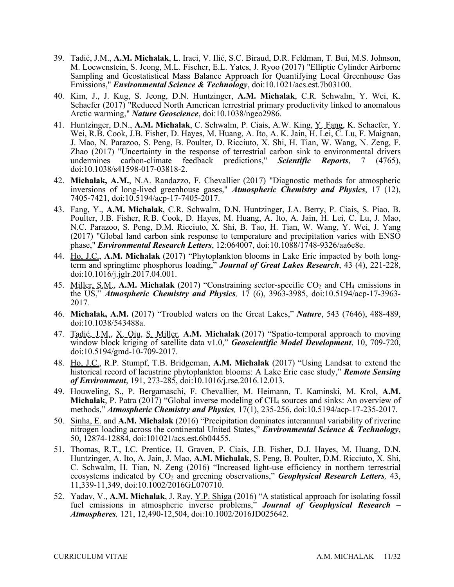- M. Loewenstein, S. Jeong, M.L. Fischer, E.L. Yates, J. Ryoo (2017) "Elliptic Cylinder Airborne 39. Tadić, J.M., **A.M. Michalak**, L. Iraci, V. Ilić, S.C. Biraud, D.R. Feldman, T. Bui, M.S. Johnson, Sampling and Geostatistical Mass Balance Approach for Quantifying Local Greenhouse Gas Emissions," *Environmental Science & Technology*, doi:10.1021/acs.est.7b03100.
- 40. Kim, J., J. Kug, S. Jeong, D.N. Huntzinger, **A.M. Michalak**, C.R. Schwalm, Y. Wei, K. Schaefer (2017) "Reduced North American terrestrial primary productivity linked to anomalous Arctic warming," *Nature Geoscience*, doi:10.1038/ngeo2986.
- Wei, R.B. Cook, J.B. Fisher, D. Hayes, M. Huang, A. Ito, A. K. Jain, H. Lei, C. Lu, F. Maignan, Zhao (2017) "Uncertainty in the response of terrestrial carbon sink to environmental drivers 41. Huntzinger, D.N., **A.M. Michalak**, C. Schwalm, P. Ciais, A.W. King, Y. Fang, K. Schaefer, Y. J. Mao, N. Parazoo, S. Peng, B. Poulter, D. Ricciuto, X. Shi, H. Tian, W. Wang, N. Zeng, F. undermines carbon-climate feedback predictions," *Scientific Reports*, 7 (4765), doi:10.1038/s41598-017-03818-2.
- 42. **Michalak, A.M.**, N.A. Randazzo, F. Chevallier (2017) "Diagnostic methods for atmospheric inversions of long-lived greenhouse gases," *Atmospheric Chemistry and Physics*, 17 (12), 7405-7421, doi:10.5194/acp-17-7405-2017.
- Poulter, J.B. Fisher, R.B. Cook, D. Hayes, M. Huang, A. Ito, A. Jain, H. Lei, C. Lu, J. Mao, N.C. Parazoo, S. Peng, D.M. Ricciuto, X. Shi, B. Tao, H. Tian, W. Wang, Y. Wei, J. Yang phase," *Environmental Research Letters*, 12:064007, doi:10.1088/1748-9326/aa6e8e. 43. Fang, Y., **A.M. Michalak**, C.R. Schwalm, D.N. Huntzinger, J.A. Berry, P. Ciais, S. Piao, B. (2017) "Global land carbon sink response to temperature and precipitation varies with ENSO
- 44. Ho, J.C., A.M. Michalak (2017) "Phytoplankton blooms in Lake Erie impacted by both longterm and springtime phosphorus loading," *Journal of Great Lakes Research*, 43 (4), 221-228, doi:10.1016/j.jglr.2017.04.001.
- 45. Miller, S.M., A.M. Michalak (2017) "Constraining sector-specific CO<sub>2</sub> and CH<sub>4</sub> emissions in the US," *Atmospheric Chemistry and Physics,* 17 (6), 3963-3985, doi:10.5194/acp-17-3963- 2017*.*
- 46. **Michalak, A.M.** (2017) "Troubled waters on the Great Lakes," *Nature*, 543 (7646), 488-489, doi:10.1038/543488a.
- 47. Tadić, J.M., X. Qiu, S. Miller, **A.M. Michalak** (2017) "Spatio-temporal approach to moving window block kriging of satellite data v1.0," *Geoscientific Model Development*, 10, 709-720, doi:10.5194/gmd-10-709-2017.
- 48. Ho, J.C., R.P. Stumpf, T.B. Bridgeman, **A.M. Michalak** (2017) "Using Landsat to extend the historical record of lacustrine phytoplankton blooms: A Lake Erie case study," *Remote Sensing of Environment*, 191, 273-285, doi:10.1016/j.rse.2016.12.013.
- 49. Houweling, S., P. Bergamaschi, F. Chevallier, M. Heimann, T. Kaminski, M. Krol, **A.M.**  Michalak, P. Patra (2017) "Global inverse modeling of CH<sub>4</sub> sources and sinks: An overview of methods," *Atmospheric Chemistry and Physics,* 17(1), 235-256, doi:10.5194/acp-17-235-2017*.*
- 50. Sinha, E. and **A.M. Michalak** (2016) "Precipitation dominates interannual variability of riverine nitrogen loading across the continental United States," *Environmental Science & Technology*, 50, 12874-12884, doi:101021/acs.est.6b04455.
- 51. Thomas, R.T., I.C. Prentice, H. Graven, P. Ciais, J.B. Fisher, D.J. Hayes, M. Huang, D.N. Huntzinger, A. Ito, A. Jain, J. Mao, **A.M. Michalak**, S. Peng, B. Poulter, D.M. Ricciuto, X. Shi, C. Schwalm, H. Tian, N. Zeng (2016) "Increased light-use efficiency in northern terrestrial ecosystems indicated by CO<sub>2</sub> and greening observations," *Geophysical Research Letters*, 43, 11,339-11,349, doi:10.1002/2016GL070710.
- 52. Yadav, V., **A.M. Michalak**, J. Ray, Y.P. Shiga (2016) "A statistical approach for isolating fossil fuel emissions in atmospheric inverse problems," *Journal of Geophysical Research – Atmospheres,* 121, 12,490-12,504, doi:10.1002/2016JD025642.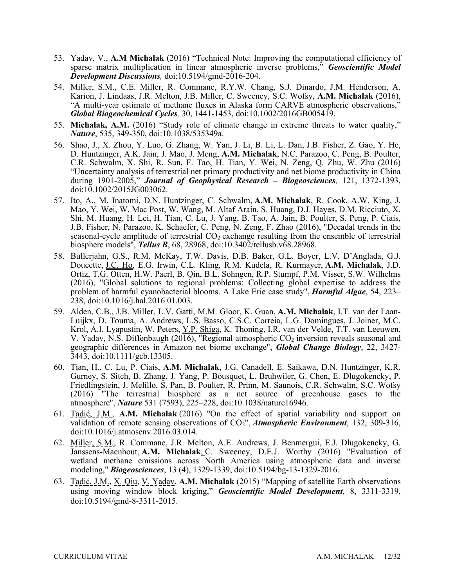- 53. Yadav, V., **A.M Michalak** (2016) "Technical Note: Improving the computational efficiency of sparse matrix multiplication in linear atmospheric inverse problems," *Geoscientific Model Development Discussions,* doi:10.5194/gmd-2016-204.
- Karion, J. Lindaas, J.R. Melton, J.B. Miller, C. Sweeney, S.C. Wofsy, **A.M. Michalak** (2016), 54. Miller, S.M., C.E. Miller, R. Commane, R.Y.W. Chang, S.J. Dinardo, J.M. Henderson, A. "A multi-year estimate of methane fluxes in Alaska form CARVE atmospheric observations," *Global Biogeochemical Cycles,* 30, 1441-1453, doi:10.1002/2016GB005419.
- 55. **Michalak, A.M.** (2016) "Study role of climate change in extreme threats to water quality," *Nature*, 535, 349-350, doi:10.1038/535349a.
- D. Huntzinger, A.K. Jain, J. Mao, J. Meng, **A.M. Michalak**, N.C. Parazoo, C. Peng, B. Poulter, C.R. Schwalm, X. Shi, R. Sun, F. Tao, H. Tian, Y. Wei, N. Zeng, Q. Zhu, W. Zhu (2016) during 1901-2005," *Journal of Geophysical Research – Biogeosciences,* 121, 1372-1393, 56. Shao, J., X. Zhou, Y. Luo, G. Zhang, W. Yan, J. Li, B. Li, L. Dan, J.B. Fisher, Z. Gao, Y. He, "Uncertainty analysis of terrestrial net primary productivity and net biome productivity in China doi:10.1002/2015JG003062.
- 57. Ito, A., M. Inatomi, D.N. Huntzinger, C. Schwalm, **A.M. Michalak**, R. Cook, A.W. King, J. Mao, Y. Wei, W. Mac Post, W. Wang, M. Altaf Arain, S. Huang, D.J. Hayes, D.M. Ricciuto, X. Shi, M. Huang, H. Lei, H. Tian, C. Lu, J. Yang, B. Tao, A. Jain, B. Poulter, S. Peng, P. Ciais, J.B. Fisher, N. Parazoo, K. Schaefer, C. Peng, N. Zeng, F. Zhao (2016), "Decadal trends in the seasonal-cycle amplitude of terrestrial  $CO<sub>2</sub>$  exchange resulting from the ensemble of terrestrial biosphere models", *Tellus B*, 68, 28968, doi:10.3402/tellusb.v68.28968.
- 58. Bullerjahn, G.S., R.M. McKay, T.W. Davis, D.B. Baker, G.L. Boyer, L.V. D'Anglada, G.J. Ortiz, T.G. Otten, H.W. Paerl, B. Qin, B.L. Sohngen, R.P. Stumpf, P.M. Visser, S.W. Wilhelms Doucette, J.C. Ho, E.G. Irwin, C.L. Kling, R.M. Kudela, R. Kurmayer, **A.M. Michalak**, J.D. (2016), "Global solutions to regional problems: Collecting global expertise to address the problem of harmful cyanobacterial blooms. A Lake Erie case study", *Harmful Algae*, 54, 223– 238, doi:10.1016/j.hal.2016.01.003.
- 59. Alden, C.B., J.B. Miller, L.V. Gatti, M.M. Gloor, K. Guan, **A.M. Michalak**, I.T. van der Laan- Luijkx, D. Touma, A. Andrews, L.S. Basso, C.S.C. Correia, L.G. Domingues, J. Joiner, M.C. Krol, A.I. Lyapustin, W. Peters, Y.P. Shiga, K. Thoning, I.R. van der Velde, T.T. van Leeuwen, V. Yadav, N.S. Diffenbaugh (2016), "Regional atmospheric  $CO<sub>2</sub>$  inversion reveals seasonal and geographic differences in Amazon net biome exchange", *Global Change Biology*, 22, 3427- 3443, doi:10.1111/gcb.13305.
- 60. Tian, H., C. Lu, P. Ciais, **A.M. Michalak**, J.G. Canadell, E. Saikawa, D.N. Huntzinger, K.R. Gurney, S. Sitch, B. Zhang, J. Yang, P. Bousquet, L. Bruhwiler, G. Chen, E. Dlugokencky, P. atmosphere", *Nature* 531 (7593), 225–228, doi:10.1038/nature16946. Friedlingstein, J. Melillo, S. Pan, B. Poulter, R. Prinn, M. Saunois, C.R. Schwalm, S.C. Wofsy (2016) "The terrestrial biosphere as a net source of greenhouse gases to the
- 61. Tadić, J.M., **A.M. Michalak** (2016) "On the effect of spatial variability and support on validation of remote sensing observations of CO<sub>2</sub>", *Atmospheric Environment*, 132, 309-316, doi:10.1016/j.atmosenv.2016.03.014.
- 62. Miller, S.M., R. Commane, J.R. Melton, A.E. Andrews, J. Benmergui, E.J. Dlugokencky, G. Janssens-Maenhout, **A.M. Michalak**, C. Sweeney, D.E.J. Worthy (2016) "Evaluation of wetland methane emissions across North America using atmospheric data and inverse modeling," *Biogeosciences*, 13 (4), 1329-1339, doi:10.5194/bg-13-1329-2016.
- 63. Tadić, J.M., X. Qiu, V. Yadav, **A.M. Michalak** (2015) "Mapping of satellite Earth observations using moving window block kriging," *Geoscientific Model Development,* 8, 3311-3319, doi:10.5194/gmd-8-3311-2015.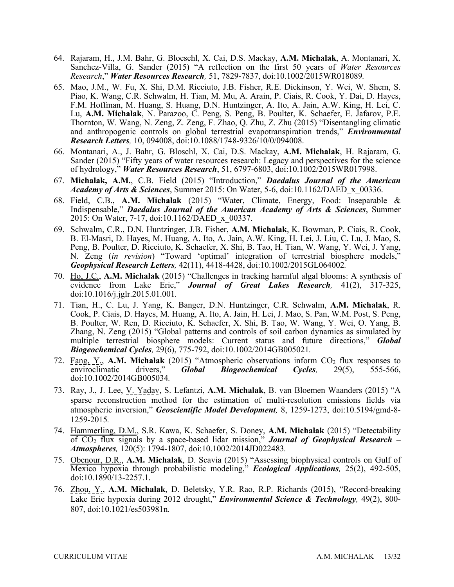- 64. Rajaram, H., J.M. Bahr, G. Bloeschl, X. Cai, D.S. Mackay, **A.M. Michalak**, A. Montanari, X. Sanchez-Villa, G. Sander (2015) "A reflection on the first 50 years of *Water Resources Research*," *Water Resources Research,* 51, 7829-7837, doi:10.1002/2015WR018089*.*
- 65. Mao, J.M., W. Fu, X. Shi, D.M. Ricciuto, J.B. Fisher, R.E. Dickinson, Y. Wei, W. Shem, S. Thornton, W. Wang, N. Zeng, Z. Zeng, F. Zhao, Q. Zhu, Z. Zhu (2015) "Disentangling climatic *Research Letters,* 10, 094008, doi:10.1088/1748-9326/10/0/094008. Piao, K. Wang, C.R. Schwalm, H. Tian, M. Mu, A. Arain, P. Ciais, R. Cook, Y. Dai, D. Hayes, F.M. Hoffman, M. Huang, S. Huang, D.N. Huntzinger, A. Ito, A. Jain, A.W. King, H. Lei, C. Lu, **A.M. Michalak**, N. Parazoo, C. Peng, S. Peng, B. Poulter, K. Schaefer, E. Jafarov, P.E. and anthropogenic controls on global terrestrial evapotranspiration trends," *Environmental*
- of hydrology," *Water Resources Research*, 51, 6797-6803, doi:10.1002/2015WR017998. 66. Montanari, A., J. Bahr, G. Bloschl, X. Cai, D.S. Mackay, **A.M. Michalak**, H. Rajaram, G. Sander (2015) "Fifty years of water resources research: Legacy and perspectives for the science
- *Academy of Arts & Sciences*, Summer 2015: On Water, 5-6, doi:10.1162/DAED\_x\_00336. 67. **Michalak, A.M.**, C.B. Field (2015) "Introduction," *Daedalus Journal of the American*
- Indispensable," *Daedalus Journal of the American Academy of Arts & Sciences*, Summer 2015: On Water, 7-17, doi:10.1162/DAED\_x\_00337. 68. Field, C.B., **A.M. Michalak** (2015) "Water, Climate, Energy, Food: Inseparable &
- B. El-Masri, D. Hayes, M. Huang, A. Ito, A. Jain, A.W. King, H. Lei, J. Liu, C. Lu, J. Mao, S. *Geophysical Research Letters,* 42(11), 4418-4428, doi:10.1002/2015GL064002*.*  69. Schwalm, C.R., D.N. Huntzinger, J.B. Fisher, **A.M. Michalak**, K. Bowman, P. Ciais, R. Cook, Peng, B. Poulter, D. Ricciuto, K. Schaefer, X. Shi, B. Tao, H. Tian, W. Wang, Y. Wei, J. Yang, N. Zeng (*in revision*) "Toward 'optimal' integration of terrestrial biosphere models,"
- 70. Ho, J.C., **A.M. Michalak** (2015) "Challenges in tracking harmful algal blooms: A synthesis of evidence from Lake Erie," *Journal of Great Lakes Research,* 41(2), 317-325, doi:10.1016/j.jglr.2015.01.001*.*
- 71. Tian, H., C. Lu, J. Yang, K. Banger, D.N. Huntzinger, C.R. Schwalm, **A.M. Michalak**, R. Cook, P. Ciais, D. Hayes, M. Huang, A. Ito, A. Jain, H. Lei, J. Mao, S. Pan, W.M. Post, S. Peng, B. Poulter, W. Ren, D. Ricciuto, K. Schaefer, X. Shi, B. Tao, W. Wang, Y. Wei, O. Yang, B. Zhang, N. Zeng (2015) "Global patterns and controls of soil carbon dynamics as simulated by multiple terrestrial biosphere models: Current status and future directions," *Global Biogeochemical Cycles,* 29(6), 775-792, doi:10.1002/2014GB005021*.*
- 72. Fang, Y<sub>.</sub>, A.M. Michalak (2015) "Atmospheric observations inform  $CO<sub>2</sub>$  flux responses to enviroclimatic drivers," *Global Biogeochemical Cycles,* 29(5), 555-566, doi:10.1002/2014GB005034*.*
- 73. Ray, J., J. Lee, V. Yadav, S. Lefantzi, **A.M. Michalak**, B. van Bloemen Waanders (2015) "A atmospheric inversion," *Geoscientific Model Development,* 8, 1259-1273, doi:10.5194/gmd-8 sparse reconstruction method for the estimation of multi-resolution emissions fields via 1259-2015*.*
- 74. Hammerling, D.M., S.R. Kawa, K. Schaefer, S. Doney, **A.M. Michalak** (2015) "Detectability of CO2 flux signals by a space-based lidar mission," *Journal of Geophysical Research – Atmospheres,* 120(5): 1794-1807, doi:10.1002/2014JD022483*.*
- Mexico hypoxia through probabilistic modeling," *Ecological Applications,* 25(2), 492-505, 75. Obenour, D.R., **A.M. Michalak**, D. Scavia (2015) "Assessing biophysical controls on Gulf of doi:10.1890/13-2257.1.
- 76. Zhou, Y., **A.M. Michalak**, D. Beletsky, Y.R. Rao, R.P. Richards (2015), "Record-breaking Lake Erie hypoxia during 2012 drought," *Environmental Science & Technology,* 49(2), 800- 807, doi:10.1021/es503981n*.*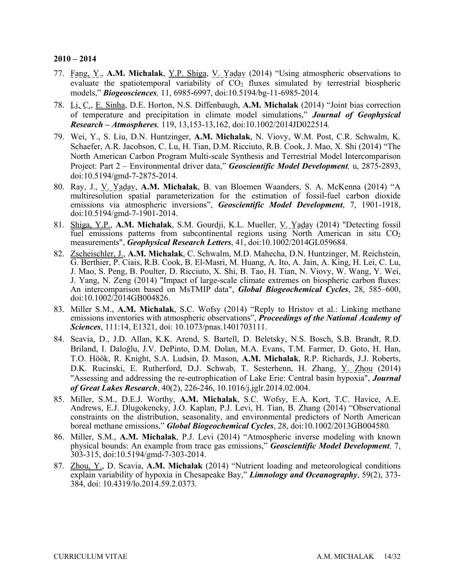- 77. Fang, Y., **A.M. Michalak**, Y.P. Shiga, V. Yadav (2014) "Using atmospheric observations to models," *Biogeosciences,* 11, 6985-6997, doi:10.5194/bg-11-6985-2014*.*  evaluate the spatiotemporal variability of  $CO<sub>2</sub>$  fluxes simulated by terrestrial biospheric
- 78. Li, C., E. Sinha, D.E. Horton, N.S. Diffenbaugh, **A.M. Michalak** (2014) "Joint bias correction of temperature and precipitation in climate model simulations," *Journal of Geophysical Research – Atmospheres,* 119, 13,153-13,162, doi:10.1002/2014JD022514*.*
- 79. Wei, Y., S. Liu, D.N. Huntzinger, **A.M. Michalak**, N. Viovy, W.M. Post, C.R. Schwalm, K. Schaefer, A.R. Jacobson, C. Lu, H. Tian, D.M. Ricciuto, R.B. Cook, J. Mao, X. Shi (2014) "The Project: Part 2 – Environmental driver data," *Geoscientific Model Development,* u, 2875-2893, North American Carbon Program Multi-scale Synthesis and Terrestrial Model Intercomparison doi:10.5194/gmd-7-2875-2014*.*
- 80. Ray, J., V. Yadav, **A.M. Michalak**, B. van Bloemen Waanders, S. A. McKenna (2014) "A multiresolution spatial parameterization for the estimation of fossil-fuel carbon dioxide emissions via atmospheric inversions", *Geoscientific Model Development*, 7, 1901-1918, doi:10.5194/gmd-7-1901-2014.
- 81. Shiga, Y.P., **A.M. Michalak**, S.M. Gourdji, K.L. Mueller, V. Yadav (2014) "Detecting fossil fuel emissions patterns from subcontinental regions using North American in situ  $CO<sub>2</sub>$ measurements", *Geophysical Research Letters*, 41, doi:10.1002/2014GL059684.
- G. Berthier, P. Ciais, R.B. Cook, B. El-Masri, M. Huang, A. Ito, A. Jain, A. King, H. Lei, C. Lu, J. Mao, S. Peng, B. Poulter, D. Ricciuto, X. Shi, B. Tao, H. Tian, N. Viovy, W. Wang, Y. Wei, 82. Zscheischler, J., **A.M. Michalak**, C. Schwalm, M.D. Mahecha, D.N. Huntzinger, M. Reichstein, J. Yang, N. Zeng (2014) "Impact of large-scale climate extremes on biospheric carbon fluxes: An intercomparison based on MsTMIP data", *Global Biogeochemical Cycles*, 28, 585–600, doi:10.1002/2014GB004826.
- 83. Miller S.M., **A.M. Michalak**, S.C. Wofsy (2014) "Reply to Hristov et al.: Linking methane emissions inventories with atmospheric observations", *Proceedings of the National Academy of Sciences*, 111:14, E1321, doi: 10.1073/pnas.1401703111.
- 84. Scavia, D., J.D. Allan, K.K. Arend, S. Bartell, D. Beletsky, N.S. Bosch, S.B. Brandt, R.D. Briland, I. Daloğlu, J.V. DePinto, D.M. Dolan, M.A. Evans, T.M. Farmer, D. Goto, H. Han, T.O. Höök, R. Knight, S.A. Ludsin, D. Mason, **A.M. Michalak**, R.P. Richards, J.J. Roberts, D.K. Rucinski, E. Rutherford, D.J. Schwab, T. Sesterhenn, H. Zhang, Y. Zhou (2014) "Assessing and addressing the re-eutrophication of Lake Erie: Central basin hypoxia", *Journal of Great Lakes Research*, 40(2), 226-246, 10.1016/j.jglr.2014.02.004.
- 85. Miller, S.M., D.E.J. Worthy, **A.M. Michalak**, S.C. Wofsy, E.A. Kort, T.C. Havice, A.E. Andrews, E.J. Dlugokencky, J.O. Kaplan, P.J. Levi, H. Tian, B. Zhang (2014) "Observational constraints on the distribution, seasonality, and environmental predictors of North American boreal methane emissions," *Global Biogeochemical Cycles*, 28, doi:10.1002/2013GB004580*.*
- 86. Miller, S.M., **A.M. Michalak**, P.J. Levi (2014) "Atmospheric inverse modeling with known  $\overline{303}$ -315, doi:10.5194/gmd-7-303-2014. physical bounds: An example from trace gas emissions," *Geoscientific Model Development,* 7,
- 384, doi: 10.4319/lo.2014.59.2.0373*.* 303-315, doi:10.5194/gmd-7-303-2014. 87. Zhou, Y., D. Scavia, **A.M. Michalak** (2014) "Nutrient loading and meteorological conditions explain variability of hypoxia in Chesapeake Bay," *Limnology and Oceanography*, 59(2), 373-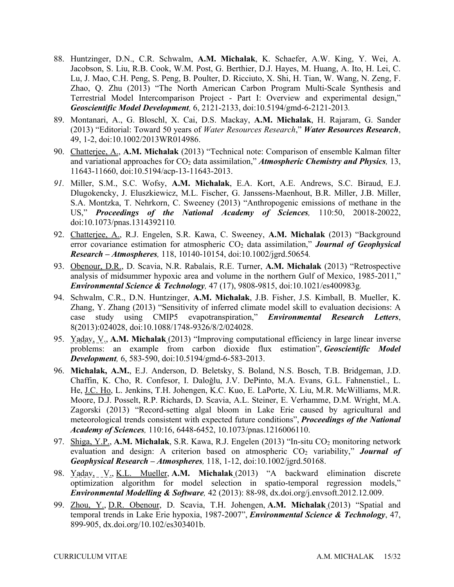- 88. Huntzinger, D.N., C.R. Schwalm, **A.M. Michalak**, K. Schaefer, A.W. King, Y. Wei, A. Lu, J. Mao, C.H. Peng, S. Peng, B. Poulter, D. Ricciuto, X. Shi, H. Tian, W. Wang, N. Zeng, F. Zhao, Q. Zhu (2013) "The North American Carbon Program Multi-Scale Synthesis and Terrestrial Model Intercomparison Project - Part I: Overview and experimental design," *Geoscientific Model Development,* 6, 2121-2133, doi:10.5194/gmd-6-2121-2013*.*  Jacobson, S. Liu, R.B. Cook, W.M. Post, G. Berthier, D.J. Hayes, M. Huang, A. Ito, H. Lei, C.
- 89. Montanari, A., G. Bloschl, X. Cai, D.S. Mackay, **A.M. Michalak**, H. Rajaram, G. Sander  (2013) "Editorial: Toward 50 years of *Water Resources Research*," *Water Resources Research*, 49, 1-2, doi:10.1002/2013WR014986.
- 90. Chatterjee, A., **A.M. Michalak** (2013) "Technical note: Comparison of ensemble Kalman filter and variational approaches for CO<sub>2</sub> data assimilation," *Atmospheric Chemistry and Physics*, 13, 11643-11660, doi:10.5194/acp-13-11643-2013.
- *91.* Miller, S.M., S.C. Wofsy, **A.M. Michalak**, E.A. Kort, A.E. Andrews, S.C. Biraud, E.J. Dlugokencky, J. Eluszkiewicz, M.L. Fischer, G. Janssens-Maenhout, B.R. Miller, J.B. Miller, US," Proceedings of the National Academy of Sciences, 110:50, 20018-20022, S.A. Montzka, T. Nehrkorn, C. Sweeney (2013) "Anthropogenic emissions of methane in the doi:10.1073/pnas.1314392110*.*
- 92. Chatterjee, A., R.J. Engelen, S.R. Kawa, C. Sweeney, **A.M. Michalak** (2013) "Background error covariance estimation for atmospheric CO<sub>2</sub> data assimilation," **Journal of Geophysical** *Research – Atmospheres,* 118, 10140-10154, doi:10.1002/jgrd.50654*.*
- *Environmental Science & Technology,* 47 (17), 9808-9815, doi:10.1021/es400983g*.*  93. Obenour, D.R., D. Scavia, N.R. Rabalais, R.E. Turner, **A.M. Michalak** (2013) "Retrospective analysis of midsummer hypoxic area and volume in the northern Gulf of Mexico, 1985-2011,"
- 94. Schwalm, C.R., D.N. Huntzinger, **A.M. Michalak**, J.B. Fisher, J.S. Kimball, B. Mueller, K. Zhang, Y. Zhang (2013) "Sensitivity of inferred climate model skill to evaluation decisions: A case study using CMIP5 evapotranspiration," *Environmental Research Letters*, 8(2013):024028, doi:10.1088/1748-9326/8/2/024028.
- *Development,* 6, 583-590, doi:10.5194/gmd-6-583-2013. 95. Yadav, V., **A.M. Michalak** (2013) "Improving computational efficiency in large linear inverse problems: an example from carbon dioxide flux estimation", *Geoscientific Model*
- Moore, D.J. Posselt, R.P. Richards, D. Scavia, A.L. Steiner, E. Verhamme, D.M. Wright, M.A. Zagorski (2013) "Record-setting algal bloom in Lake Erie caused by agricultural and meteorological trends consistent with expected future conditions", *Proceedings of the National Academy of Sciences,* 110:16, 6448-6452, 10.1073/pnas.1216006110. 96. **Michalak, A.M.**, E.J. Anderson, D. Beletsky, S. Boland, N.S. Bosch, T.B. Bridgeman, J.D. Chaffin, K. Cho, R. Confesor, I. Daloğlu, J.V. DePinto, M.A. Evans, G.L. Fahnenstiel., L. He, J.C. Ho, L. Jenkins, T.H. Johengen, K.C. Kuo, E. LaPorte, X. Liu, M.R. McWilliams, M.R.
- 97. Shiga, Y.P., A.M. Michalak, S.R. Kawa, R.J. Engelen (2013) "In-situ CO<sub>2</sub> monitoring network *Geophysical Research – Atmospheres,* 118, 1-12, doi:10.1002/jgrd.50168. evaluation and design: A criterion based on atmospheric  $CO<sub>2</sub>$  variability," **Journal of**
- 98. Yadav, V., K.L. Mueller, **A.M. Michalak** (2013) "A backward elimination discrete optimization algorithm for model selection in spatio-temporal regression models," *Environmental Modelling & Software,* 42 (2013): 88-98, [dx.doi.org/j.envsoft.2012.12.009](https://dx.doi.org/j.envsoft.2012.12.009).
- 99. Zhou, Y., D.R. Obenour, D. Scavia, T.H. Johengen, **A.M. Michalak** (2013) "Spatial and temporal trends in Lake Erie hypoxia, 1987-2007", *Environmental Science & Technology*, 47, 899-905, [dx.doi.org/10.102/es303401b](https://dx.doi.org/10.102/es303401b).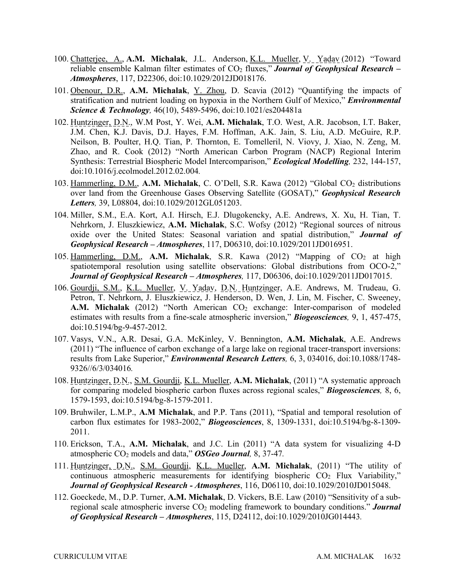- reliable ensemble Kalman filter estimates of CO<sub>2</sub> fluxes," *Journal of Geophysical Research* 100. Chatterjee, A., **A.M. Michalak**, J.L. Anderson, K.L. Mueller, V. Yadav (2012) "Toward *Atmospheres*, 117, D22306, doi:10.1029/2012JD018176.
- 101. Obenour, D.R., **A.M. Michalak**, Y. Zhou, D. Scavia (2012) "Quantifying the impacts of *Science & Technology,* 46(10), 5489-5496, doi:10.1021/es204481a stratification and nutrient loading on hypoxia in the Northern Gulf of Mexico," *Environmental*
- J.M. Chen, K.J. Davis, D.J. Hayes, F.M. Hoffman, A.K. Jain, S. Liu, A.D. McGuire, R.P. Neilson, B. Poulter, H.Q. Tian, P. Thornton, E. Tomelleril, N. Viovy, J. Xiao, N. Zeng, M. Zhao, and R. Cook (2012) "North American Carbon Program (NACP) Regional Interim Synthesis: Terrestrial Biospheric Model Intercomparison," *Ecological Modelling,* 232, 144-157, 102. Huntzinger, D.N., W.M Post, Y. Wei, **A.M. Michalak**, T.O. West, A.R. Jacobson, I.T. Baker, doi:10.1016/j.ecolmodel.2012.02.004*.*
- *Letters,* 39, L08804, doi:10.1029/2012GL051203. 103. Hammerling, D.M., **A.M. Michalak**, C. O'Dell, S.R. Kawa (2012) "Global CO2 distributions over land from the Greenhouse Gases Observing Satellite (GOSAT)," *Geophysical Research*
- 104. Miller, S.M., E.A. Kort, A.I. Hirsch, E.J. Dlugokencky, A.E. Andrews, X. Xu, H. Tian, T. Nehrkorn, J. Eluszkiewicz, **A.M. Michalak**, S.C. Wofsy (2012) "Regional sources of nitrous oxide over the United States: Seasonal variation and spatial distribution," *Journal of Geophysical Research – Atmospheres*, 117, D06310, doi:10.1029/2011JD016951.
- *Journal of Geophysical Research Atmospheres,* 117, D06306, doi:10.1029/2011JD017015. 105. Hammerling, D.M., A.M. Michalak, S.R. Kawa (2012) "Mapping of CO<sub>2</sub> at high spatiotemporal resolution using satellite observations: Global distributions from OCO-2,"
- 106. Gourdji, S.M., K.L. Mueller, V. Yadav, D.N. Huntzinger, A.E. Andrews, M. Trudeau, G. estimates with results from a fine-scale atmospheric inversion," *Biogeosciences,* 9, 1, 457-475, Petron, T. Nehrkorn, J. Eluszkiewicz, J. Henderson, D. Wen, J. Lin, M. Fischer, C. Sweeney, A.M. Michalak (2012) "North American CO<sub>2</sub> exchange: Inter-comparison of modeled doi:10.5194/bg-9-457-2012.
- 107. Vasys, V.N., A.R. Desai, G.A. McKinley, V. Bennington, **A.M. Michalak**, A.E. Andrews results from Lake Superior," *Environmental Research Letters,* 6, 3, 034016, doi:10.1088/1748- (2011) "The influence of carbon exchange of a large lake on regional tracer-transport inversions: 9326//6/3/034016*.*
- 108. Huntzinger, D.N., S.M. Gourdji, K.L. Mueller, **A.M. Michalak**, (2011) "A systematic approach for comparing modeled biospheric carbon fluxes across regional scales," *Biogeosciences,* 8, 6, 1579-1593, doi:10.5194/bg-8-1579-2011.
- 109. Bruhwiler, L.M.P., **A.M Michalak**, and P.P. Tans (2011), "Spatial and temporal resolution of carbon flux estimates for 1983-2002," *Biogeosciences*, 8, 1309-1331, doi:10.5194/bg-8-1309- 2011.
- 110. Erickson, T.A., **A.M. Michalak**, and J.C. Lin (2011) "A data system for visualizing 4-D atmospheric CO2 models and data," *OSGeo Journal,* 8, 37-47*.*
- *Journal of Geophysical Research - Atmospheres*, 116, D06110, doi:10.1029/2010JD015048. 111. Huntzinger, D.N., S.M. Gourdji, K.L. Mueller, **A.M. Michalak**, (2011) "The utility of continuous atmospheric measurements for identifying biospheric  $CO<sub>2</sub>$  Flux Variability,"
- 112. Goeckede, M., D.P. Turner, **A.M. Michalak**, D. Vickers, B.E. Law (2010) "Sensitivity of a subregional scale atmospheric inverse CO<sub>2</sub> modeling framework to boundary conditions." **Journal** *of Geophysical Research – Atmospheres*, 115, D24112, doi:10.1029/2010JG014443*.*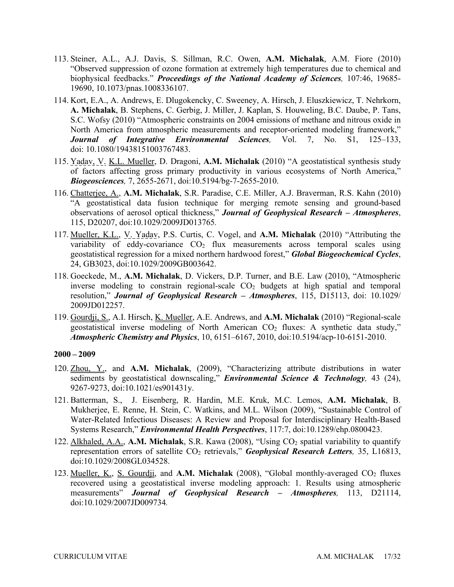- biophysical feedbacks." *Proceedings of the National Academy of Sciences,* 107:46, 19685- 113. Steiner, A.L., A.J. Davis, S. Sillman, R.C. Owen, **A.M. Michalak**, A.M. Fiore (2010) "Observed suppression of ozone formation at extremely high temperatures due to chemical and 19690, 10.1073/pnas.1008336107.
- 114. Kort, E.A., A. Andrews, E. Dlugokencky, C. Sweeney, A. Hirsch, J. Eluszkiewicz, T. Nehrkorn, **A. Michalak**, B. Stephens, C. Gerbig, J. Miller, J. Kaplan, S. Houweling, B.C. Daube, P. Tans, *Journal of Integrative Environmental Sciences,* Vol. 7, No. S1, 125–133, S.C. Wofsy (2010) "Atmospheric constraints on 2004 emissions of methane and nitrous oxide in North America from atmospheric measurements and receptor-oriented modeling framework," doi: 10.1080/19438151003767483.
- *Biogeosciences,* 7, 2655-2671, doi:10.5194/bg-7-2655-2010. 115. Yadav, V. K.L. Mueller, D. Dragoni, **A.M. Michalak** (2010) "A geostatistical synthesis study of factors affecting gross primary productivity in various ecosystems of North America,"
- 115, D20207, doi:10.1029/2009JD013765*.*  116. Chatterjee, A., **A.M. Michalak**, S.R. Paradise, C.E. Miller, A.J. Braverman, R.S. Kahn (2010) "A geostatistical data fusion technique for merging remote sensing and ground-based observations of aerosol optical thickness," *Journal of Geophysical Research – Atmospheres*,
- 24, GB3023, doi:10.1029/2009GB003642. 117. Mueller, K.L., V. Yadav, P.S. Curtis, C. Vogel, and **A.M. Michalak** (2010) "Attributing the variability of eddy-covariance  $CO<sub>2</sub>$  flux measurements across temporal scales using geostatistical regression for a mixed northern hardwood forest," *Global Biogeochemical Cycles*,
- 118. Goeckede, M., **A.M. Michalak**, D. Vickers, D.P. Turner, and B.E. Law (2010), "Atmospheric inverse modeling to constrain regional-scale  $CO<sub>2</sub>$  budgets at high spatial and temporal resolution," *Journal of Geophysical Research – Atmospheres*, 115, D15113, doi: 10.1029/ 2009JD012257.
- 119. Gourdji, S., A.I. Hirsch, K. Mueller, A.E. Andrews, and **A.M. Michalak** (2010) "Regional-scale geostatistical inverse modeling of North American  $CO<sub>2</sub>$  fluxes: A synthetic data study," *Atmospheric Chemistry and Physics*, 10, 6151–6167, 2010, doi:10.5194/acp-10-6151-2010.

- 120. Zhou, Y., and **A.M. Michalak**, (2009), "Characterizing attribute distributions in water sediments by geostatistical downscaling," *Environmental Science & Technology,* 43 (24), 9267-9273, doi:10.1021/es901431y.
- 121. Batterman, S., J. Eisenberg, R. Hardin, M.E. Kruk, M.C. Lemos, **A.M. Michalak**, B. Mukherjee, E. Renne, H. Stein, C. Watkins, and M.L. Wilson (2009), "Sustainable Control of Water-Related Infectious Diseases: A Review and Proposal for Interdisciplinary Health-Based Systems Research," *Environmental Health Perspectives*, 117:7, doi:10.1289/ehp.0800423.
- representation errors of satellite CO<sub>2</sub> retrievals," *Geophysical Research Letters*, 35, L16813, 122. Alkhaled, A.A., **A.M. Michalak**, S.R. Kawa (2008), "Using CO<sub>2</sub> spatial variability to quantify doi:10.1029/2008GL034528.
- 123. Mueller, K., S. Gourdji, and A.M. Michalak (2008), "Global monthly-averaged CO<sub>2</sub> fluxes recovered using a geostatistical inverse modeling approach: 1. Results using atmospheric measurements" *Journal of Geophysical Research – Atmospheres,* 113, D21114, doi:10.1029/2007JD009734*.*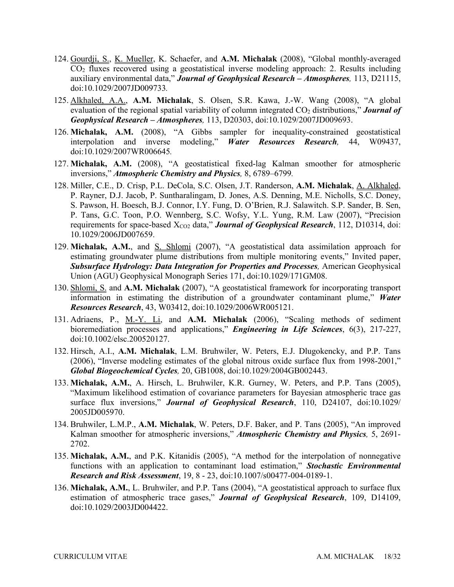- 124. Gourdji, S., K. Mueller, K. Schaefer, and **A.M. Michalak** (2008), "Global monthly-averaged auxiliary environmental data," *Journal of Geophysical Research – Atmospheres,* 113, D21115, CO2 fluxes recovered using a geostatistical inverse modeling approach: 2. Results including doi:10.1029/2007JD009733*.*
- 125. Alkhaled, A.A., **A.M. Michalak**, S. Olsen, S.R. Kawa, J.-W. Wang (2008), "A global *Geophysical Research – Atmospheres,* 113, D20303, doi:10.1029/2007JD009693. evaluation of the regional spatial variability of column integrated CO<sub>2</sub> distributions," **Journal of**
- interpolation and inverse modeling," *Water Resources Research,* 44, W09437, 126. **Michalak, A.M.** (2008), "A Gibbs sampler for inequality-constrained geostatistical doi:10.1029/2007WR006645*.*
- 127. **Michalak, A.M.** (2008), "A geostatistical fixed-lag Kalman smoother for atmospheric inversions," *Atmospheric Chemistry and Physics,* 8, 6789–6799*.*
- 128. Miller, C.E., D. Crisp, P.L. DeCola, S.C. Olsen, J.T. Randerson, A.M. Michalak, A. Alkhaled, requirements for space-based X<sub>CO2</sub> data," **Journal of Geophysical Research**, 112, D10314, doi: P. Rayner, D.J. Jacob, P. Suntharalingam, D. Jones, A.S. Denning, M.E. Nicholls, S.C. Doney, S. Pawson, H. Boesch, B.J. Connor, I.Y. Fung, D. O'Brien, R.J. Salawitch. S.P. Sander, B. Sen, P. Tans, G.C. Toon, P.O. Wennberg, S.C. Wofsy, Y.L. Yung, R.M. Law (2007), "Precision 10.1029/2006JD007659.
- Union (AGU) Geophysical Monograph Series 171, doi:10.1029/171GM08. 129. **Michalak, A.M.**, and S. Shlomi (2007), "A geostatistical data assimilation approach for estimating groundwater plume distributions from multiple monitoring events," Invited paper, *Subsurface Hydrology: Data Integration for Properties and Processes,* American Geophysical
- *Resources Research*, 43, W03412, doi:10.1029/2006WR005121. 130. Shlomi, S. and **A.M. Michalak** (2007), "A geostatistical framework for incorporating transport information in estimating the distribution of a groundwater contaminant plume," *Water*
- 131. Adriaens, P., M.-Y. Li, and **A.M. Michalak** (2006), "Scaling methods of sediment bioremediation processes and applications," *Engineering in Life Sciences*, 6(3), 217-227, doi:10.1002/elsc.200520127.
- *Global Biogeochemical Cycles,* 20, GB1008, doi:10.1029/2004GB002443. 132. Hirsch, A.I., **A.M. Michalak**, L.M. Bruhwiler, W. Peters, E.J. Dlugokencky, and P.P. Tans (2006), "Inverse modeling estimates of the global nitrous oxide surface flux from 1998-2001,"
- 133. **Michalak, A.M.**, A. Hirsch, L. Bruhwiler, K.R. Gurney, W. Peters, and P.P. Tans (2005), "Maximum likelihood estimation of covariance parameters for Bayesian atmospheric trace gas surface flux inversions," *Journal of Geophysical Research*, 110, D24107, doi:10.1029/ 2005JD005970.
- 134. Bruhwiler, L.M.P., **A.M. Michalak**, W. Peters, D.F. Baker, and P. Tans (2005), "An improved Kalman smoother for atmospheric inversions," *Atmospheric Chemistry and Physics,* 5, 2691- 2702.
- 135. **Michalak, A.M.**, and P.K. Kitanidis (2005), "A method for the interpolation of nonnegative functions with an application to contaminant load estimation," *Stochastic Environmental Research and Risk Assessment*, 19, 8 - 23, doi:10.1007/s00477-004-0189-1.
- 136. **Michalak, A.M.**, L. Bruhwiler, and P.P. Tans (2004), "A geostatistical approach to surface flux estimation of atmospheric trace gases," *Journal of Geophysical Research*, 109, D14109, doi:10.1029/2003JD004422.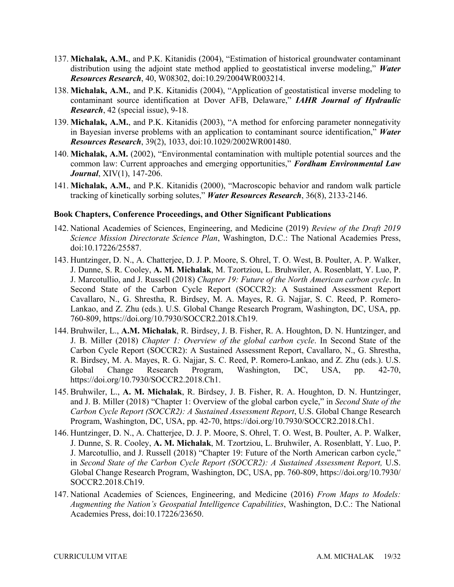- 137. **Michalak, A.M.**, and P.K. Kitanidis (2004), "Estimation of historical groundwater contaminant distribution using the adjoint state method applied to geostatistical inverse modeling," *Water Resources Research*, 40, W08302, doi:10.29/2004WR003214.
- 138. **Michalak, A.M.**, and P.K. Kitanidis (2004), "Application of geostatistical inverse modeling to *Research*, 42 (special issue), 9-18. contaminant source identification at Dover AFB, Delaware," *IAHR Journal of Hydraulic*
- 139. **Michalak, A.M.**, and P.K. Kitanidis (2003), "A method for enforcing parameter nonnegativity in Bayesian inverse problems with an application to contaminant source identification," *Water Resources Research*, 39(2), 1033, doi:10.1029/2002WR001480.
- 140. **Michalak, A.M.** (2002), "Environmental contamination with multiple potential sources and the common law: Current approaches and emerging opportunities," *Fordham Environmental Law Journal*, XIV(1), 147-206.
- 141. **Michalak, A.M.**, and P.K. Kitanidis (2000), "Macroscopic behavior and random walk particle  tracking of kinetically sorbing solutes," *Water Resources Research*, 36(8), 2133-2146.

### **Book Chapters, Conference Proceedings, and Other Significant Publications**

- 142. National Academies of Sciences, Engineering, and Medicine (2019) *Review of the Draft 2019 Science Mission Directorate Science Plan*, Washington, D.C.: The National Academies Press, doi:10.17226/25587.
- 143. Huntzinger, D. N., A. Chatterjee, D. J. P. Moore, S. Ohrel, T. O. West, B. Poulter, A. P. Walker,  J. Dunne, S. R. Cooley, **A. M. Michalak**, M. Tzortziou, L. Bruhwiler, A. Rosenblatt, Y. Luo, P.  J. Marcotullio, and J. Russell (2018) *Chapter 19: Future of the North American carbon cycle*. In Cavallaro, N., G. Shrestha, R. Birdsey, M. A. Mayes, R. G. Najjar, S. C. Reed, P. Romero- Lankao, and Z. Zhu (eds.). U.S. Global Change Research Program, Washington, DC, USA, pp. Second State of the Carbon Cycle Report (SOCCR2): A Sustained Assessment Report 760-809, [https://doi.org/10.7930/SOCCR2.2018.Ch19.](https://doi.org/10.7930/SOCCR2.2018.Ch19)
- 144. Bruhwiler, L., **A.M. Michalak**, R. Birdsey, J. B. Fisher, R. A. Houghton, D. N. Huntzinger, and  J. B. Miller (2018) *Chapter 1: Overview of the global carbon cycle*. In Second State of the Carbon Cycle Report (SOCCR2): A Sustained Assessment Report, Cavallaro, N., G. Shrestha, R. Birdsey, M. A. Mayes, R. G. Najjar, S. C. Reed, P. Romero-Lankao, and Z. Zhu (eds.). U.S. Global Change Research Program, Washington, DC, USA, pp. 42-70, <https://doi.org/10.7930/SOCCR2.2018.Ch1>.
- 145. Bruhwiler, L., **A. M. Michalak**, R. Birdsey, J. B. Fisher, R. A. Houghton, D. N. Huntzinger, and J. B. Miller (2018) "Chapter 1: Overview of the global carbon cycle," in *Second State of the*  Carbon Cycle Report (SOCCR2): A Sustained Assessment Report, U.S. Global Change Research Program, Washington, DC, USA, pp. 42-70, [https://doi.org/10.7930/SOCCR2.2018.Ch1.](https://doi.org/10.7930/SOCCR2.2018.Ch1)
- 146. Huntzinger, D. N., A. Chatterjee, D. J. P. Moore, S. Ohrel, T. O. West, B. Poulter, A. P. Walker,  J. Dunne, S. R. Cooley, **A. M. Michalak**, M. Tzortziou, L. Bruhwiler, A. Rosenblatt, Y. Luo, P. Global Change Research Program, Washington, DC, USA, pp. 760-809, <https://doi.org/10.7930>/ J. Marcotullio, and J. Russell (2018) "Chapter 19: Future of the North American carbon cycle," in *Second State of the Carbon Cycle Report (SOCCR2): A Sustained Assessment Report, U.S.* SOCCR2.2018.Ch19.
- 147. National Academies of Sciences, Engineering, and Medicine (2016) *From Maps to Models: Augmenting the Nation's Geospatial Intelligence Capabilities*, Washington, D.C.: The National Academies Press, doi:10.17226/23650.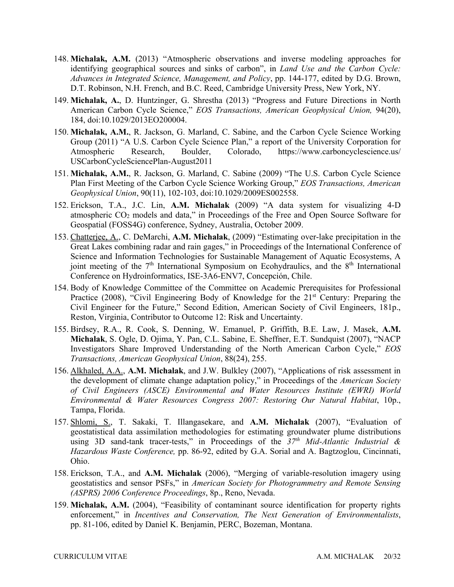- *Advances in Integrated Science, Management, and Policy*, pp. 144-177, edited by D.G. Brown, D.T. Robinson, N.H. French, and B.C. Reed, Cambridge University Press, New York, NY. 148. **Michalak, A.M.** (2013) "Atmospheric observations and inverse modeling approaches for identifying geographical sources and sinks of carbon", in *Land Use and the Carbon Cycle:*
- 149. **Michalak, A.**, D. Huntzinger, G. Shrestha (2013) "Progress and Future Directions in North  American Carbon Cycle Science," *EOS Transactions, American Geophysical Union,* 94(20), 184, doi:10.1029/2013EO200004.
- 150. **Michalak, A.M.**, R. Jackson, G. Marland, C. Sabine, and the Carbon Cycle Science Working Group (2011) "A U.S. Carbon Cycle Science Plan," a report of the University Corporation for Atmospheric Research, Boulder, Colorado, <https://www.carboncyclescience.us>/ USCarbonCycleSciencePlan-August2011
- 151. **Michalak, A.M.**, R. Jackson, G. Marland, C. Sabine (2009) "The U.S. Carbon Cycle Science Plan First Meeting of the Carbon Cycle Science Working Group," *EOS Transactions, American Geophysical Union*, 90(11), 102-103, doi:10.1029/2009ES002558.
- 152. Erickson, T.A., J.C. Lin, **A.M. Michalak** (2009) "A data system for visualizing 4-D atmospheric CO<sub>2</sub> models and data," in Proceedings of the Free and Open Source Software for Geospatial (FOSS4G) conference, Sydney, Australia, October 2009.
- Great Lakes combining radar and rain gages," in Proceedings of the International Conference of 153. Chatterjee, A., C. DeMarchi, **A.M. Michalak**, (2009) "Estimating over-lake precipitation in the Science and Information Technologies for Sustainable Management of Aquatic Ecosystems, A joint meeting of the  $7<sup>th</sup>$  International Symposium on Ecohydraulics, and the  $8<sup>th</sup>$  International Conference on Hydroinformatics, ISE-3A6-ENV7, Concepción, Chile.
- 154. Body of Knowledge Committee of the Committee on Academic Prerequisites for Professional Civil Engineer for the Future," Second Edition, American Society of Civil Engineers, 181p., Reston, Virginia, Contributor to Outcome 12: Risk and Uncertainty. Practice (2008), "Civil Engineering Body of Knowledge for the 21<sup>st</sup> Century: Preparing the
- 155. Birdsey, R.A., R. Cook, S. Denning, W. Emanuel, P. Griffith, B.E. Law, J. Masek, **A.M. Michalak**, S. Ogle, D. Ojima, Y. Pan, C.L. Sabine, E. Sheffner, E.T. Sundquist (2007), "NACP Investigators Share Improved Understanding of the North American Carbon Cycle," *EOS Transactions, American Geophysical Union*, 88(24), 255.
- *Environmental & Water Resources Congress 2007: Restoring Our Natural Habitat*, 10p., 156. Alkhaled, A.A., **A.M. Michalak**, and J.W. Bulkley (2007), "Applications of risk assessment in the development of climate change adaptation policy," in Proceedings of the *American Society of Civil Engineers (ASCE) Environmental and Water Resources Institute (EWRI) World*  Tampa, Florida.
- *Hazardous Waste Conference,* pp. 86-92, edited by G.A. Sorial and A. Bagtzoglou, Cincinnati, 157. Shlomi, S., T. Sakaki, T. Illangasekare, and **A.M. Michalak** (2007), "Evaluation of geostatistical data assimilation methodologies for estimating groundwater plume distributions using 3D sand-tank tracer-tests," in Proceedings of the *37th Mid-Atlantic Industrial &*  Ohio.
- 158. Erickson, T.A., and **A.M. Michalak** (2006), "Merging of variable-resolution imagery using geostatistics and sensor PSFs," in *American Society for Photogrammetry and Remote Sensing (ASPRS) 2006 Conference Proceedings*, 8p., Reno, Nevada.
- 159. **Michalak, A.M.** (2004), "Feasibility of contaminant source identification for property rights pp. 81-106, edited by Daniel K. Benjamin, PERC, Bozeman, Montana. enforcement," in *Incentives and Conservation, The Next Generation of Environmentalists*,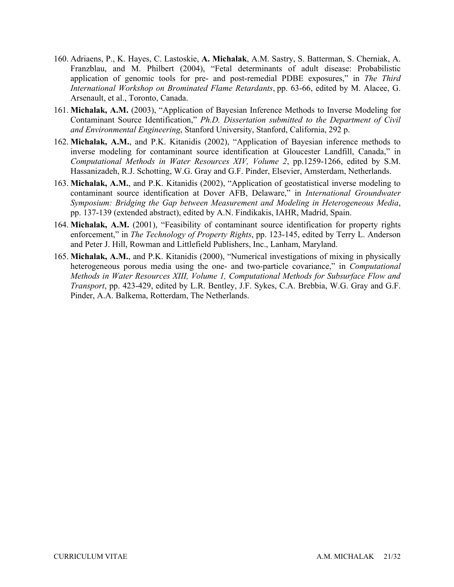- *International Workshop on Brominated Flame Retardants*, pp. 63-66, edited by M. Alacee, G. Arsenault, et al., Toronto, Canada. 160. Adriaens, P., K. Hayes, C. Lastoskie, **A. Michalak**, A.M. Sastry, S. Batterman, S. Cherniak, A. Franzblau, and M. Philbert (2004), "Fetal determinants of adult disease: Probabilistic application of genomic tools for pre- and post-remedial PDBE exposures," in *The Third*
- 161. **Michalak, A.M.** (2003), "Application of Bayesian Inference Methods to Inverse Modeling for Contaminant Source Identification," *Ph.D. Dissertation submitted to the Department of Civil and Environmental Engineering*, Stanford University, Stanford, California, 292 p.
- 162. **Michalak, A.M.**, and P.K. Kitanidis (2002), "Application of Bayesian inference methods to  *Computational Methods in Water Resources XIV, Volume 2*, pp.1259-1266, edited by S.M. Hassanizadeh, R.J. Schotting, W.G. Gray and G.F. Pinder, Elsevier, Amsterdam, Netherlands. inverse modeling for contaminant source identification at Gloucester Landfill, Canada," in
- 163. **Michalak, A.M.**, and P.K. Kitanidis (2002), "Application of geostatistical inverse modeling to pp. 137-139 (extended abstract), edited by A.N. Findikakis, IAHR, Madrid, Spain. contaminant source identification at Dover AFB, Delaware," in *International Groundwater Symposium: Bridging the Gap between Measurement and Modeling in Heterogeneous Media*,
- and Peter J. Hill, Rowman and Littlefield Publishers, Inc., Lanham, Maryland. 164. **Michalak, A.M.** (2001), "Feasibility of contaminant source identification for property rights enforcement," in *The Technology of Property Rights*, pp. 123-145, edited by Terry L. Anderson
- 165. **Michalak, A.M.**, and P.K. Kitanidis (2000), "Numerical investigations of mixing in physically  *Methods in Water Resources XIII, Volume 1, Computational Methods for Subsurface Flow and Transport*, pp. 423-429, edited by L.R. Bentley, J.F. Sykes, C.A. Brebbia, W.G. Gray and G.F. heterogeneous porous media using the one- and two-particle covariance," in *Computational*  Pinder, A.A. Balkema, Rotterdam, The Netherlands.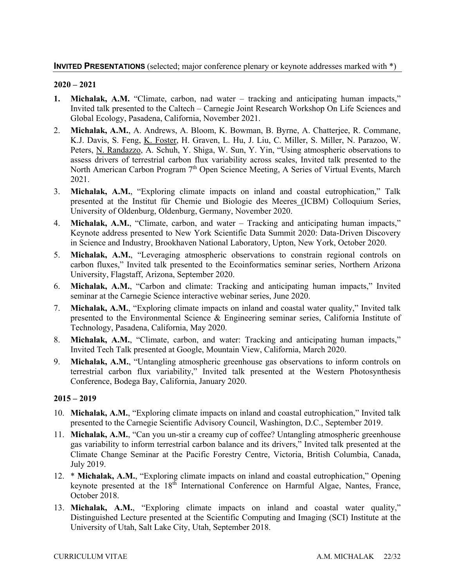- **1. Michalak, A.M.** "Climate, carbon, nad water tracking and anticipating human impacts," Invited talk presented to the Caltech – Carnegie Joint Research Workshop On Life Sciences and Global Ecology, Pasadena, California, November 2021.
- K.J. Davis, S. Feng, K. Foster, H. Graven, L. Hu, J. Liu, C. Miller, S. Miller, N. Parazoo, W. Peters, *N. Randazzo*, A. Schuh, Y. Shiga, W. Sun, Y. Yin, "Using atmospheric observations to 2. **Michalak, A.M.**, A. Andrews, A. Bloom, K. Bowman, B. Byrne, A. Chatterjee, R. Commane, assess drivers of terrestrial carbon flux variability across scales, Invited talk presented to the North American Carbon Program 7<sup>th</sup> Open Science Meeting, A Series of Virtual Events, March 2021.
- 3. **Michalak, A.M.**, "Exploring climate impacts on inland and coastal eutrophication," Talk University of Oldenburg, Oldenburg, Germany, November 2020. presented at the Institut für Chemie und Biologie des Meeres (ICBM) Colloquium Series,
- in Science and Industry, Brookhaven National Laboratory, Upton, New York, October 2020. 4. **Michalak, A.M.**, "Climate, carbon, and water – Tracking and anticipating human impacts," Keynote address presented to New York Scientific Data Summit 2020: Data-Driven Discovery
- University, Flagstaff, Arizona, September 2020. 5. **Michalak, A.M.**, "Leveraging atmospheric observations to constrain regional controls on carbon fluxes," Invited talk presented to the Ecoinformatics seminar series, Northern Arizona
- 6. **Michalak, A.M.**, "Carbon and climate: Tracking and anticipating human impacts," Invited seminar at the Carnegie Science interactive webinar series, June 2020.
- Technology, Pasadena, California, May 2020. 7. **Michalak, A.M.**, "Exploring climate impacts on inland and coastal water quality," Invited talk presented to the Environmental Science & Engineering seminar series, California Institute of
- 8. **Michalak, A.M.**, "Climate, carbon, and water: Tracking and anticipating human impacts," Invited Tech Talk presented at Google, Mountain View, California, March 2020.
- 9. **Michalak, A.M.**, "Untangling atmospheric greenhouse gas observations to inform controls on terrestrial carbon flux variability," Invited talk presented at the Western Photosynthesis Conference, Bodega Bay, California, January 2020.

- presented to the Carnegie Scientific Advisory Council, Washington, D.C., September 2019. 10. **Michalak, A.M.**, "Exploring climate impacts on inland and coastal eutrophication," Invited talk
- Climate Change Seminar at the Pacific Forestry Centre, Victoria, British Columbia, Canada, 11. **Michalak, A.M.**, "Can you un-stir a creamy cup of coffee? Untangling atmospheric greenhouse gas variability to inform terrestrial carbon balance and its drivers," Invited talk presented at the July 2019.
- 12. \* **Michalak, A.M.**, "Exploring climate impacts on inland and coastal eutrophication," Opening keynote presented at the 18<sup>th</sup> International Conference on Harmful Algae, Nantes, France, October 2018.
- University of Utah, Salt Lake City, Utah, September 2018. 13. **Michalak, A.M.**, "Exploring climate impacts on inland and coastal water quality," Distinguished Lecture presented at the Scientific Computing and Imaging (SCI) Institute at the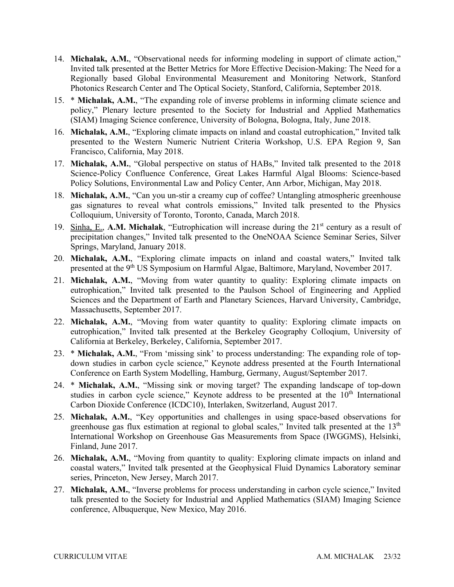- 14. **Michalak, A.M.**, "Observational needs for informing modeling in support of climate action," Invited talk presented at the Better Metrics for More Effective Decision-Making: The Need for a Regionally based Global Environmental Measurement and Monitoring Network, Stanford Photonics Research Center and The Optical Society, Stanford, California, September 2018.
- (SIAM) Imaging Science conference, University of Bologna, Bologna, Italy, June 2018. 15. \* **Michalak, A.M.**, "The expanding role of inverse problems in informing climate science and policy," Plenary lecture presented to the Society for Industrial and Applied Mathematics
- presented to the Western Numeric Nutrient Criteria Workshop, U.S. EPA Region 9, San 16. **Michalak, A.M.**, "Exploring climate impacts on inland and coastal eutrophication," Invited talk Francisco, California, May 2018.
- 17. **Michalak, A.M.**, "Global perspective on status of HABs," Invited talk presented to the 2018 Science-Policy Confluence Conference, Great Lakes Harmful Algal Blooms: Science-based Policy Solutions, Environmental Law and Policy Center, Ann Arbor, Michigan, May 2018.
- Colloquium, University of Toronto, Toronto, Canada, March 2018. 18. **Michalak, A.M.**, "Can you un-stir a creamy cup of coffee? Untangling atmospheric greenhouse gas signatures to reveal what controls emissions," Invited talk presented to the Physics
- 19. Sinha, E., A.M. Michalak, "Eutrophication will increase during the 21<sup>st</sup> century as a result of precipitation changes," Invited talk presented to the OneNOAA Science Seminar Series, Silver Springs, Maryland, January 2018.
- presented at the 9<sup>th</sup> US Symposium on Harmful Algae, Baltimore, Maryland, November 2017. 20. **Michalak, A.M.**, "Exploring climate impacts on inland and coastal waters," Invited talk
- Massachusetts, September 2017. 21. **Michalak, A.M.**, "Moving from water quantity to quality: Exploring climate impacts on eutrophication," Invited talk presented to the Paulson School of Engineering and Applied Sciences and the Department of Earth and Planetary Sciences, Harvard University, Cambridge,
- California at Berkeley, Berkeley, California, September 2017. 22. **Michalak, A.M.**, "Moving from water quantity to quality: Exploring climate impacts on eutrophication," Invited talk presented at the Berkeley Geography Colloqium, University of
- Conference on Earth System Modelling, Hamburg, Germany, August/September 2017. 23. \* **Michalak, A.M.**, "From 'missing sink' to process understanding: The expanding role of topdown studies in carbon cycle science," Keynote address presented at the Fourth International
- Carbon Dioxide Conference (ICDC10), Interlaken, Switzerland, August 2017. 24. \* **Michalak, A.M.**, "Missing sink or moving target? The expanding landscape of top-down studies in carbon cycle science," Keynote address to be presented at the  $10<sup>th</sup>$  International
- 25. **Michalak, A.M.**, "Key opportunities and challenges in using space-based observations for greenhouse gas flux estimation at regional to global scales," Invited talk presented at the 13<sup>th</sup> International Workshop on Greenhouse Gas Measurements from Space (IWGGMS), Helsinki, Finland, June 2017.
- 26. **Michalak, A.M.**, "Moving from quantity to quality: Exploring climate impacts on inland and coastal waters," Invited talk presented at the Geophysical Fluid Dynamics Laboratory seminar series, Princeton, New Jersey, March 2017.
- 27. **Michalak, A.M.**, "Inverse problems for process understanding in carbon cycle science," Invited talk presented to the Society for Industrial and Applied Mathematics (SIAM) Imaging Science conference, Albuquerque, New Mexico, May 2016.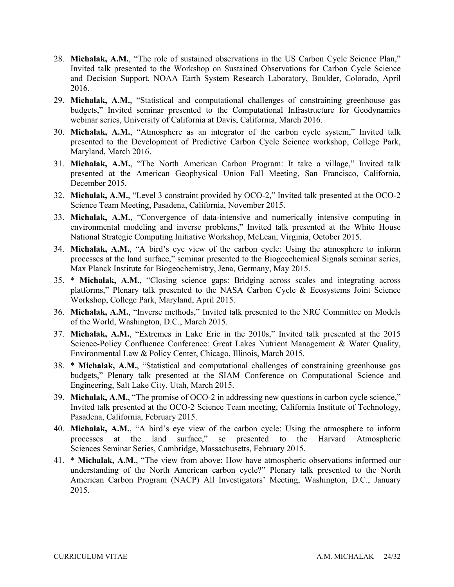- Invited talk presented to the Workshop on Sustained Observations for Carbon Cycle Science and Decision Support, NOAA Earth System Research Laboratory, Boulder, Colorado, April 28. **Michalak, A.M.**, "The role of sustained observations in the US Carbon Cycle Science Plan," 2016.
- webinar series, University of California at Davis, California, March 2016. 29. **Michalak, A.M.**, "Statistical and computational challenges of constraining greenhouse gas budgets," Invited seminar presented to the Computational Infrastructure for Geodynamics
- 30. **Michalak, A.M.**, "Atmosphere as an integrator of the carbon cycle system," Invited talk presented to the Development of Predictive Carbon Cycle Science workshop, College Park, Maryland, March 2016.
- 31. **Michalak, A.M.**, "The North American Carbon Program: It take a village," Invited talk presented at the American Geophysical Union Fall Meeting, San Francisco, California, December 2015.
- 32. **Michalak, A.M.**, "Level 3 constraint provided by OCO-2," Invited talk presented at the OCO-2 Science Team Meeting, Pasadena, California, November 2015.
- National Strategic Computing Initiative Workshop, McLean, Virginia, October 2015. 33. **Michalak, A.M.**, "Convergence of data-intensive and numerically intensive computing in environmental modeling and inverse problems," Invited talk presented at the White House
- Max Planck Institute for Biogeochemistry, Jena, Germany, May 2015. 34. **Michalak, A.M.**, "A bird's eye view of the carbon cycle: Using the atmosphere to inform processes at the land surface," seminar presented to the Biogeochemical Signals seminar series,
- Workshop, College Park, Maryland, April 2015. 35. \* **Michalak, A.M.**, "Closing science gaps: Bridging across scales and integrating across platforms," Plenary talk presented to the NASA Carbon Cycle & Ecosystems Joint Science
- of the World, Washington, D.C., March 2015. 36. **Michalak, A.M.**, "Inverse methods," Invited talk presented to the NRC Committee on Models
- Environmental Law & Policy Center, Chicago, Illinois, March 2015. 37. **Michalak, A.M.**, "Extremes in Lake Erie in the 2010s," Invited talk presented at the 2015 Science-Policy Confluence Conference: Great Lakes Nutrient Management & Water Quality,
- Engineering, Salt Lake City, Utah, March 2015. 38. \* **Michalak, A.M.**, "Statistical and computational challenges of constraining greenhouse gas budgets," Plenary talk presented at the SIAM Conference on Computational Science and
- Invited talk presented at the OCO-2 Science Team meeting, California Institute of Technology, 39. **Michalak, A.M.**, "The promise of OCO-2 in addressing new questions in carbon cycle science," Pasadena, California, February 2015.
- Sciences Seminar Series, Cambridge, Massachusetts, February 2015. 40. **Michalak, A.M.**, "A bird's eye view of the carbon cycle: Using the atmosphere to inform processes at the land surface," se presented to the Harvard Atmospheric
- American Carbon Program (NACP) All Investigators' Meeting, Washington, D.C., January 41. \* **Michalak, A.M.**, "The view from above: How have atmospheric observations informed our understanding of the North American carbon cycle?" Plenary talk presented to the North 2015.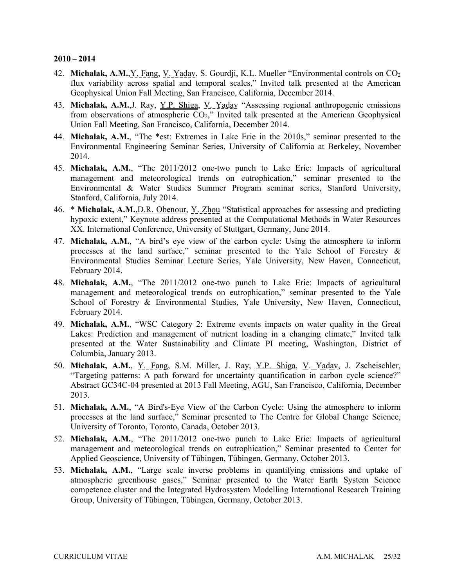- 42. **Michalak, A.M.**,Y. Fang, V. Yadav, S. Gourdji, K.L. Mueller "Environmental controls on CO2 Geophysical Union Fall Meeting, San Francisco, California, December 2014. flux variability across spatial and temporal scales," Invited talk presented at the American
- 43. **Michalak, A.M.**,J. Ray, Y.P. Shiga, V. Yadav "Assessing regional anthropogenic emissions from observations of atmospheric  $CO<sub>2</sub>$ ," Invited talk presented at the American Geophysical Union Fall Meeting, San Francisco, California, December 2014.
- 44. **Michalak, A.M.**, "The \*est: Extremes in Lake Erie in the 2010s," seminar presented to the Environmental Engineering Seminar Series, University of California at Berkeley, November 2014.
- management and meteorological trends on eutrophication," seminar presented to the Environmental & Water Studies Summer Program seminar series, Stanford University, 45. **Michalak, A.M.**, "The 2011/2012 one-two punch to Lake Erie: Impacts of agricultural Stanford, California, July 2014.
- XX. International Conference, University of Stuttgart, Germany, June 2014. 46. \* **Michalak, A.M.**,D.R. Obenour, Y. Zhou "Statistical approaches for assessing and predicting hypoxic extent," Keynote address presented at the Computational Methods in Water Resources
- 47. **Michalak, A.M.**, "A bird's eye view of the carbon cycle: Using the atmosphere to inform processes at the land surface," seminar presented to the Yale School of Forestry & Environmental Studies Seminar Lecture Series, Yale University, New Haven, Connecticut, February 2014.
- management and meteorological trends on eutrophication," seminar presented to the Yale 48. **Michalak, A.M.**, "The 2011/2012 one-two punch to Lake Erie: Impacts of agricultural School of Forestry & Environmental Studies, Yale University, New Haven, Connecticut, February 2014.
- 49. **Michalak, A.M.**, "WSC Category 2: Extreme events impacts on water quality in the Great Lakes: Prediction and management of nutrient loading in a changing climate," Invited talk presented at the Water Sustainability and Climate PI meeting, Washington, District of Columbia, January 2013.
- 50. **Michalak, A.M.**, Y. Fang, S.M. Miller, J. Ray, Y.P. Shiga, V. Yadav, J. Zscheischler, Abstract GC34C-04 presented at 2013 Fall Meeting, AGU, San Francisco, California, December "Targeting patterns: A path forward for uncertainty quantification in carbon cycle science?" 2013.
- University of Toronto, Toronto, Canada, October 2013. 51. **Michalak, A.M.**, "A Bird's-Eye View of the Carbon Cycle: Using the atmosphere to inform processes at the land surface," Seminar presented to The Centre for Global Change Science,
- 52. **Michalak, A.M.**, "The 2011/2012 one-two punch to Lake Erie: Impacts of agricultural management and meteorological trends on eutrophication," Seminar presented to Center for Applied Geoscience, University of Tübingen, Tübingen, Germany, October 2013.
- Group, University of Tübingen, Tübingen, Germany, October 2013. 53. **Michalak, A.M.**, "Large scale inverse problems in quantifying emissions and uptake of atmospheric greenhouse gases," Seminar presented to the Water Earth System Science competence cluster and the Integrated Hydrosystem Modelling International Research Training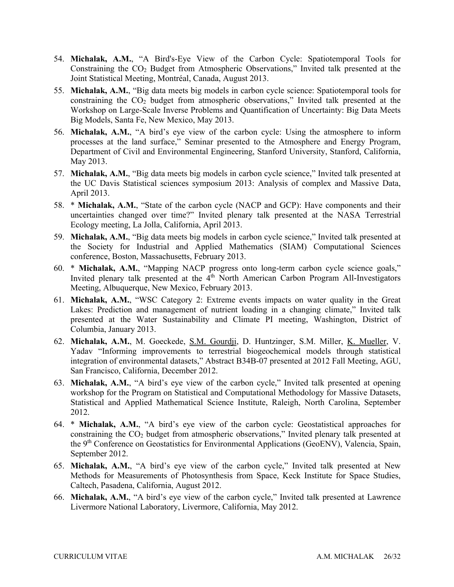- Joint Statistical Meeting, Montréal, Canada, August 2013. 54. **Michalak, A.M.**, "A Bird's-Eye View of the Carbon Cycle: Spatiotemporal Tools for Constraining the CO2 Budget from Atmospheric Observations," Invited talk presented at the
- Workshop on Large-Scale Inverse Problems and Quantification of Uncertainty: Big Data Meets Big Models, Santa Fe, New Mexico, May 2013. 55. **Michalak, A.M.**, "Big data meets big models in carbon cycle science: Spatiotemporal tools for constraining the  $CO<sub>2</sub>$  budget from atmospheric observations," Invited talk presented at the
- Department of Civil and Environmental Engineering, Stanford University, Stanford, California, 56. **Michalak, A.M.**, "A bird's eye view of the carbon cycle: Using the atmosphere to inform processes at the land surface," Seminar presented to the Atmosphere and Energy Program, May 2013.
- the UC Davis Statistical sciences symposium 2013: Analysis of complex and Massive Data, 57. **Michalak, A.M.**, "Big data meets big models in carbon cycle science," Invited talk presented at April 2013.
- Ecology meeting, La Jolla, California, April 2013. 58. \* **Michalak, A.M.**, "State of the carbon cycle (NACP and GCP): Have components and their uncertainties changed over time?" Invited plenary talk presented at the NASA Terrestrial
- conference, Boston, Massachusetts, February 2013. 59. **Michalak, A.M.**, "Big data meets big models in carbon cycle science," Invited talk presented at the Society for Industrial and Applied Mathematics (SIAM) Computational Sciences
- 60. \* **Michalak, A.M.**, "Mapping NACP progress onto long-term carbon cycle science goals," Invited plenary talk presented at the  $4<sup>th</sup>$  North American Carbon Program All-Investigators Meeting, Albuquerque, New Mexico, February 2013.
- 61. **Michalak, A.M.**, "WSC Category 2: Extreme events impacts on water quality in the Great Lakes: Prediction and management of nutrient loading in a changing climate," Invited talk presented at the Water Sustainability and Climate PI meeting, Washington, District of Columbia, January 2013.
- 62. **Michalak, A.M.**, M. Goeckede, S.M. Gourdji, D. Huntzinger, S.M. Miller, K. Mueller, V. San Francisco, California, December 2012. Yadav "Informing improvements to terrestrial biogeochemical models through statistical integration of environmental datasets," Abstract B34B-07 presented at 2012 Fall Meeting, AGU,
- 2012. 63. **Michalak, A.M.**, "A bird's eye view of the carbon cycle," Invited talk presented at opening workshop for the Program on Statistical and Computational Methodology for Massive Datasets, Statistical and Applied Mathematical Science Institute, Raleigh, North Carolina, September
- the 9<sup>th</sup> Conference on Geostatistics for Environmental Applications (GeoENV), Valencia, Spain, 2012. 64. \* **Michalak, A.M.**, "A bird's eye view of the carbon cycle: Geostatistical approaches for constraining the  $CO<sub>2</sub>$  budget from atmospheric observations," Invited plenary talk presented at September 2012.
- Methods for Measurements of Photosynthesis from Space, Keck Institute for Space Studies, Caltech, Pasadena, California, August 2012. 65. **Michalak, A.M.**, "A bird's eye view of the carbon cycle," Invited talk presented at New
- Livermore National Laboratory, Livermore, California, May 2012. 66. **Michalak, A.M.**, "A bird's eye view of the carbon cycle," Invited talk presented at Lawrence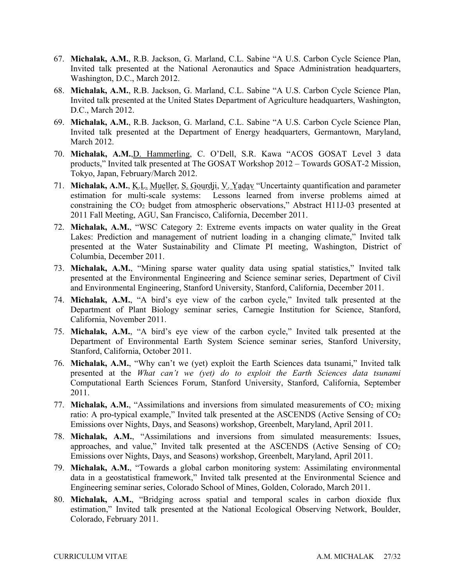- 67. **Michalak, A.M.**, R.B. Jackson, G. Marland, C.L. Sabine "A U.S. Carbon Cycle Science Plan, Washington, D.C., March 2012. Invited talk presented at the National Aeronautics and Space Administration headquarters,
- 68. **Michalak, A.M.**, R.B. Jackson, G. Marland, C.L. Sabine "A U.S. Carbon Cycle Science Plan, Invited talk presented at the United States Department of Agriculture headquarters, Washington, D.C., March 2012.
- 69. **Michalak, A.M.**, R.B. Jackson, G. Marland, C.L. Sabine "A U.S. Carbon Cycle Science Plan, Invited talk presented at the Department of Energy headquarters, Germantown, Maryland, March 2012.
- Tokyo, Japan, February/March 2012. 70. **Michalak, A.M.**,D. Hammerling, C. O'Dell, S.R. Kawa "ACOS GOSAT Level 3 data products," Invited talk presented at The GOSAT Workshop 2012 – Towards GOSAT-2 Mission,
- 71. **Michalak, A.M.**, K.L. Mueller, S. Gourdji, V. Yadav "Uncertainty quantification and parameter estimation for multi-scale systems: Lessons learned from inverse problems aimed at constraining the CO2 budget from atmospheric observations," Abstract H11J-03 presented at 2011 Fall Meeting, AGU, San Francisco, California, December 2011.
- Lakes: Prediction and management of nutrient loading in a changing climate," Invited talk 72. **Michalak, A.M.**, "WSC Category 2: Extreme events impacts on water quality in the Great presented at the Water Sustainability and Climate PI meeting, Washington, District of Columbia, December 2011.
- 73. **Michalak, A.M.**, "Mining sparse water quality data using spatial statistics," Invited talk presented at the Environmental Engineering and Science seminar series, Department of Civil and Environmental Engineering, Stanford University, Stanford, California, December 2011.
- Department of Plant Biology seminar series, Carnegie Institution for Science, Stanford, California, November 2011. 74. **Michalak, A.M.**, "A bird's eye view of the carbon cycle," Invited talk presented at the
- Department of Environmental Earth System Science seminar series, Stanford University, 75. **Michalak, A.M.**, "A bird's eye view of the carbon cycle," Invited talk presented at the Stanford, California, October 2011.
- presented at the *What can't we (yet) do to exploit the Earth Sciences data tsunami*  Computational Earth Sciences Forum, Stanford University, Stanford, California, September 76. **Michalak, A.M.**, "Why can't we (yet) exploit the Earth Sciences data tsunami," Invited talk 2011.
- 77. **Michalak, A.M.**, "Assimilations and inversions from simulated measurements of  $CO<sub>2</sub>$  mixing Emissions over Nights, Days, and Seasons) workshop, Greenbelt, Maryland, April 2011. ratio: A pro-typical example," Invited talk presented at the ASCENDS (Active Sensing of  $CO<sub>2</sub>$
- Emissions over Nights, Days, and Seasons) workshop, Greenbelt, Maryland, April 2011. 78. **Michalak, A.M.**, "Assimilations and inversions from simulated measurements: Issues, approaches, and value," Invited talk presented at the ASCENDS (Active Sensing of  $CO<sub>2</sub>$
- Engineering seminar series, Colorado School of Mines, Golden, Colorado, March 2011. 79. **Michalak, A.M.**, "Towards a global carbon monitoring system: Assimilating environmental data in a geostatistical framework," Invited talk presented at the Environmental Science and
- estimation," Invited talk presented at the National Ecological Observing Network, Boulder, 80. **Michalak, A.M.**, "Bridging across spatial and temporal scales in carbon dioxide flux Colorado, February 2011.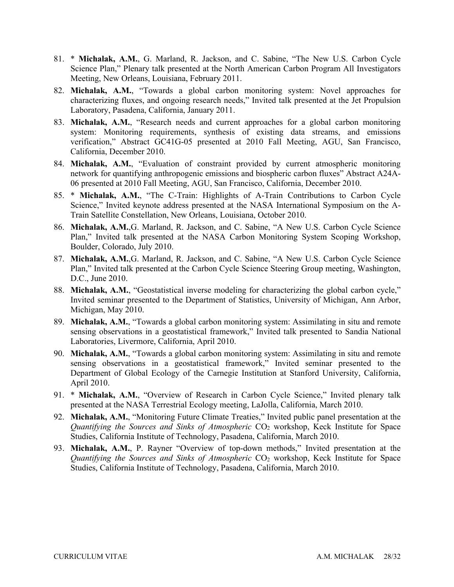- 81. \* **Michalak, A.M.**, G. Marland, R. Jackson, and C. Sabine, "The New U.S. Carbon Cycle Meeting, New Orleans, Louisiana, February 2011. Science Plan," Plenary talk presented at the North American Carbon Program All Investigators
- Laboratory, Pasadena, California, January 2011. 82. **Michalak, A.M.**, "Towards a global carbon monitoring system: Novel approaches for characterizing fluxes, and ongoing research needs," Invited talk presented at the Jet Propulsion
- verification," Abstract GC41G-05 presented at 2010 Fall Meeting, AGU, San Francisco, California, December 2010. 83. **Michalak, A.M.**, "Research needs and current approaches for a global carbon monitoring system: Monitoring requirements, synthesis of existing data streams, and emissions
- 06 presented at 2010 Fall Meeting, AGU, San Francisco, California, December 2010. 84. **Michalak, A.M.**, "Evaluation of constraint provided by current atmospheric monitoring network for quantifying anthropogenic emissions and biospheric carbon fluxes" Abstract A24A-
- 85. \* **Michalak, A.M.**, "The C-Train: Highlights of A-Train Contributions to Carbon Cycle Train Satellite Constellation, New Orleans, Louisiana, October 2010. Science," Invited keynote address presented at the NASA International Symposium on the A-
- 86. **Michalak, A.M.**,G. Marland, R. Jackson, and C. Sabine, "A New U.S. Carbon Cycle Science Boulder, Colorado, July 2010. Plan," Invited talk presented at the NASA Carbon Monitoring System Scoping Workshop,
- 87. **Michalak, A.M.**,G. Marland, R. Jackson, and C. Sabine, "A New U.S. Carbon Cycle Science Plan," Invited talk presented at the Carbon Cycle Science Steering Group meeting, Washington, D.C., June 2010.
- Invited seminar presented to the Department of Statistics, University of Michigan, Ann Arbor, 88. **Michalak, A.M.**, "Geostatistical inverse modeling for characterizing the global carbon cycle," Michigan, May 2010.
- Laboratories, Livermore, California, April 2010. 89. **Michalak, A.M.**, "Towards a global carbon monitoring system: Assimilating in situ and remote sensing observations in a geostatistical framework," Invited talk presented to Sandia National
- Department of Global Ecology of the Carnegie Institution at Stanford University, California, 90. **Michalak, A.M.**, "Towards a global carbon monitoring system: Assimilating in situ and remote sensing observations in a geostatistical framework," Invited seminar presented to the April 2010.
- presented at the NASA Terrestrial Ecology meeting, LaJolla, California, March 2010. 91. \* **Michalak, A.M.**, "Overview of Research in Carbon Cycle Science," Invited plenary talk
- 92. **Michalak, A.M.**, "Monitoring Future Climate Treaties," Invited public panel presentation at the *Quantifying the Sources and Sinks of Atmospheric* CO2 workshop, Keck Institute for Space Studies, California Institute of Technology, Pasadena, California, March 2010.
- 93. **Michalak, A.M.**, P. Rayner "Overview of top-down methods," Invited presentation at the *Quantifying the Sources and Sinks of Atmospheric CO<sub>2</sub> workshop, Keck Institute for Space* Studies, California Institute of Technology, Pasadena, California, March 2010.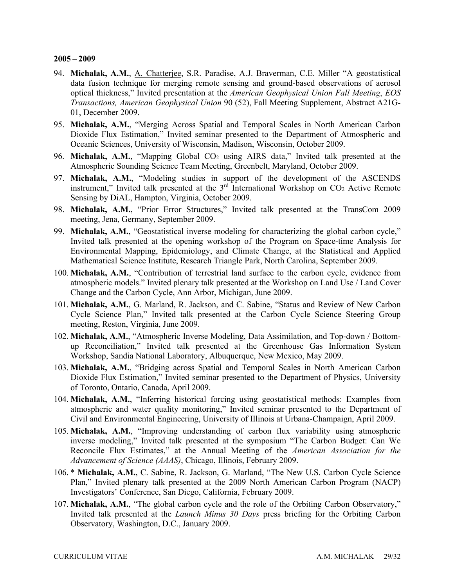- optical thickness," Invited presentation at the *American Geophysical Union Fall Meeting*, *EOS*  94. **Michalak, A.M.**, A. Chatterjee, S.R. Paradise, A.J. Braverman, C.E. Miller "A geostatistical data fusion technique for merging remote sensing and ground-based observations of aerosol *Transactions, American Geophysical Union* 90 (52), Fall Meeting Supplement, Abstract A21G-01, December 2009.
- Dioxide Flux Estimation," Invited seminar presented to the Department of Atmospheric and Oceanic Sciences, University of Wisconsin, Madison, Wisconsin, October 2009. 95. **Michalak, A.M.**, "Merging Across Spatial and Temporal Scales in North American Carbon
- Atmospheric Sounding Science Team Meeting, Greenbelt, Maryland, October 2009. 96. Michalak, A.M., "Mapping Global CO<sub>2</sub> using AIRS data," Invited talk presented at the
- 97. **Michalak, A.M.**, "Modeling studies in support of the development of the ASCENDS instrument," Invited talk presented at the 3<sup>rd</sup> International Workshop on CO<sub>2</sub> Active Remote Sensing by DiAL, Hampton, Virginia, October 2009.
- meeting, Jena, Germany, September 2009. 98. **Michalak, A.M.**, "Prior Error Structures," Invited talk presented at the TransCom 2009
- Environmental Mapping, Epidemiology, and Climate Change, at the Statistical and Applied Mathematical Science Institute, Research Triangle Park, North Carolina, September 2009. 99. **Michalak, A.M.**, "Geostatistical inverse modeling for characterizing the global carbon cycle," Invited talk presented at the opening workshop of the Program on Space-time Analysis for
- Change and the Carbon Cycle, Ann Arbor, Michigan, June 2009. 100. **Michalak, A.M.**, "Contribution of terrestrial land surface to the carbon cycle, evidence from atmospheric models." Invited plenary talk presented at the Workshop on Land Use / Land Cover
- 101. **Michalak, A.M.**, G. Marland, R. Jackson, and C. Sabine, "Status and Review of New Carbon meeting, Reston, Virginia, June 2009. Cycle Science Plan," Invited talk presented at the Carbon Cycle Science Steering Group
- 102. **Michalak, A.M.**, "Atmospheric Inverse Modeling, Data Assimilation, and Top-down / Bottomup Reconciliation," Invited talk presented at the Greenhouse Gas Information System Workshop, Sandia National Laboratory, Albuquerque, New Mexico, May 2009.
- Dioxide Flux Estimation," Invited seminar presented to the Department of Physics, University 103. **Michalak, A.M.**, "Bridging across Spatial and Temporal Scales in North American Carbon of Toronto, Ontario, Canada, April 2009.
- 104. **Michalak, A.M.**, "Inferring historical forcing using geostatistical methods: Examples from atmospheric and water quality monitoring," Invited seminar presented to the Department of Civil and Environmental Engineering, University of Illinois at Urbana-Champaign, April 2009.
- *Advancement of Science (AAAS)*, Chicago, Illinois, February 2009. 105. **Michalak, A.M.**, "Improving understanding of carbon flux variability using atmospheric inverse modeling," Invited talk presented at the symposium "The Carbon Budget: Can We Reconcile Flux Estimates," at the Annual Meeting of the *American Association for the*
- 106. \* **Michalak, A.M.**, C. Sabine, R. Jackson, G. Marland, "The New U.S. Carbon Cycle Science Investigators' Conference, San Diego, California, February 2009. Plan," Invited plenary talk presented at the 2009 North American Carbon Program (NACP)
- 107. **Michalak, A.M.**, "The global carbon cycle and the role of the Orbiting Carbon Observatory," Invited talk presented at the *Launch Minus 30 Days* press briefing for the Orbiting Carbon Observatory, Washington, D.C., January 2009.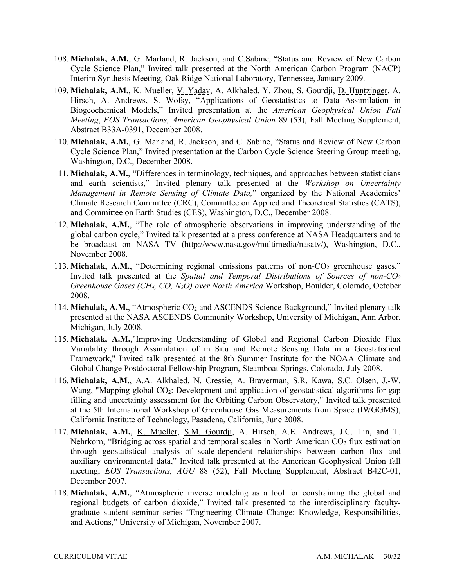- 108. **Michalak, A.M.**, G. Marland, R. Jackson, and C.Sabine, "Status and Review of New Carbon Interim Synthesis Meeting, Oak Ridge National Laboratory, Tennessee, January 2009. Cycle Science Plan," Invited talk presented at the North American Carbon Program (NACP)
- 109. Michalak, A.M., K. Mueller, V. Yadav, A. Alkhaled, Y. Zhou, S. Gourdji, D. Huntzinger, A. Hirsch, A. Andrews, S. Wofsy, "Applications of Geostatistics to Data Assimilation in Biogeochemical Models," Invited presentation at the *American Geophysical Union Fall Meeting*, *EOS Transactions, American Geophysical Union* 89 (53), Fall Meeting Supplement, Abstract B33A-0391, December 2008.
- 110. **Michalak, A.M.**, G. Marland, R. Jackson, and C. Sabine, "Status and Review of New Carbon Washington, D.C., December 2008. Cycle Science Plan," Invited presentation at the Carbon Cycle Science Steering Group meeting,
- 111. **Michalak, A.M.**, "Differences in terminology, techniques, and approaches between statisticians Climate Research Committee (CRC), Committee on Applied and Theoretical Statistics (CATS), and Committee on Earth Studies (CES), Washington, D.C., December 2008. and earth scientists," Invited plenary talk presented at the *Workshop on Uncertainty Management in Remote Sensing of Climate Data,*" organized by the National Academies'
- 112. **Michalak, A.M.**, "The role of atmospheric observations in improving understanding of the global carbon cycle," Invited talk presented at a press conference at NASA Headquarters and to be broadcast on NASA TV ([http://www.nasa.gov/multimedia/nasatv/](http://www.nasa.gov/multimedia/nasatv)), Washington, D.C., November 2008.
- *Greenhouse Gases (CH4, CO, N2O) over North America* Workshop, Boulder, Colorado, October 113. Michalak, A.M., "Determining regional emissions patterns of non-CO<sub>2</sub> greenhouse gases," Invited talk presented at the *Spatial and Temporal Distributions of Sources of non-CO2* 2008.
- 114. **Michalak, A.M.**, "Atmospheric CO<sub>2</sub> and ASCENDS Science Background," Invited plenary talk presented at the NASA ASCENDS Community Workshop, University of Michigan, Ann Arbor, Michigan, July 2008.
- Global Change Postdoctoral Fellowship Program, Steamboat Springs, Colorado, July 2008. 115. **Michalak, A.M.**,"Improving Understanding of Global and Regional Carbon Dioxide Flux Variability through Assimilation of in Situ and Remote Sensing Data in a Geostatistical Framework," Invited talk presented at the 8th Summer Institute for the NOAA Climate and
- Wang, "Mapping global CO<sub>2</sub>: Development and application of geostatistical algorithms for gap 116. **Michalak, A.M.**, A.A. Alkhaled, N. Cressie, A. Braverman, S.R. Kawa, S.C. Olsen, J.-W. filling and uncertainty assessment for the Orbiting Carbon Observatory," Invited talk presented at the 5th International Workshop of Greenhouse Gas Measurements from Space (IWGGMS), California Institute of Technology, Pasadena, California, June 2008.
- Nehrkorn, "Bridging across spatial and temporal scales in North American  $CO<sub>2</sub>$  flux estimation 117. **Michalak, A.M.**, K. Mueller, S.M. Gourdji, A. Hirsch, A.E. Andrews, J.C. Lin, and T. through geostatistical analysis of scale-dependent relationships between carbon flux and auxiliary environmental data," Invited talk presented at the American Geophysical Union fall meeting, *EOS Transactions, AGU* 88 (52), Fall Meeting Supplement, Abstract B42C-01, December 2007.
- 118. **Michalak, A.M.**, "Atmospheric inverse modeling as a tool for constraining the global and regional budgets of carbon dioxide," Invited talk presented to the interdisciplinary facultygraduate student seminar series "Engineering Climate Change: Knowledge, Responsibilities, and Actions," University of Michigan, November 2007.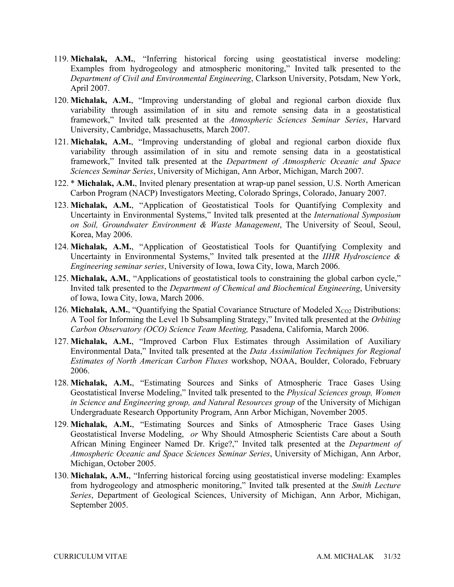- 119. **Michalak, A.M.**, "Inferring historical forcing using geostatistical inverse modeling: Examples from hydrogeology and atmospheric monitoring," Invited talk presented to the *Department of Civil and Environmental Engineering*, Clarkson University, Potsdam, New York, April 2007.
- framework," Invited talk presented at the Atmospheric Sciences Seminar Series, Harvard University, Cambridge, Massachusetts, March 2007. 120. **Michalak, A.M.**, "Improving understanding of global and regional carbon dioxide flux variability through assimilation of in situ and remote sensing data in a geostatistical
- 121. **Michalak, A.M.**, "Improving understanding of global and regional carbon dioxide flux variability through assimilation of in situ and remote sensing data in a geostatistical framework," Invited talk presented at the *Department of Atmospheric Oceanic and Space Sciences Seminar Series*, University of Michigan, Ann Arbor, Michigan, March 2007.
- 122. \* **Michalak, A.M.**, Invited plenary presentation at wrap-up panel session, U.S. North American Carbon Program (NACP) Investigators Meeting, Colorado Springs, Colorado, January 2007.
- *on Soil, Groundwater Environment & Waste Management*, The University of Seoul, Seoul, 123. **Michalak, A.M.**, "Application of Geostatistical Tools for Quantifying Complexity and Uncertainty in Environmental Systems," Invited talk presented at the *International Symposium*  Korea, May 2006.
- 124. **Michalak, A.M.**, "Application of Geostatistical Tools for Quantifying Complexity and Uncertainty in Environmental Systems," Invited talk presented at the *IIHR Hydroscience & Engineering seminar series*, University of Iowa, Iowa City, Iowa, March 2006.
- of Iowa, Iowa City, Iowa, March 2006. 125. **Michalak, A.M.**, "Applications of geostatistical tools to constraining the global carbon cycle," Invited talk presented to the *Department of Chemical and Biochemical Engineering*, University
- 126. **Michalak, A.M.**, "Quantifying the Spatial Covariance Structure of Modeled  $X_{CO2}$  Distributions: A Tool for Informing the Level 1b Subsampling Strategy," Invited talk presented at the *Orbiting Carbon Observatory (OCO) Science Team Meeting,* Pasadena, California, March 2006.
- Environmental Data," Invited talk presented at the *Data Assimilation Techniques for Regional Estimates of North American Carbon Fluxes* workshop, NOAA, Boulder, Colorado, February 127. **Michalak, A.M.**, "Improved Carbon Flux Estimates through Assimilation of Auxiliary 2006.
- Geostatistical Inverse Modeling," Invited talk presented to the *Physical Sciences group, Women*  128. **Michalak, A.M.**, "Estimating Sources and Sinks of Atmospheric Trace Gases Using *in Science and Engineering group, and Natural Resources group* of the University of Michigan Undergraduate Research Opportunity Program, Ann Arbor Michigan, November 2005.
- Geostatistical Inverse Modeling, *or* Why Should Atmospheric Scientists Care about a South African Mining Engineer Named Dr. Krige?," Invited talk presented at the *Department of*  Michigan, October 2005. 129. **Michalak, A.M.**, "Estimating Sources and Sinks of Atmospheric Trace Gases Using *Atmospheric Oceanic and Space Sciences Seminar Series*, University of Michigan, Ann Arbor,
- 130. **Michalak, A.M.**, "Inferring historical forcing using geostatistical inverse modeling: Examples from hydrogeology and atmospheric monitoring," Invited talk presented at the *Smith Lecture Series*, Department of Geological Sciences, University of Michigan, Ann Arbor, Michigan, September 2005.